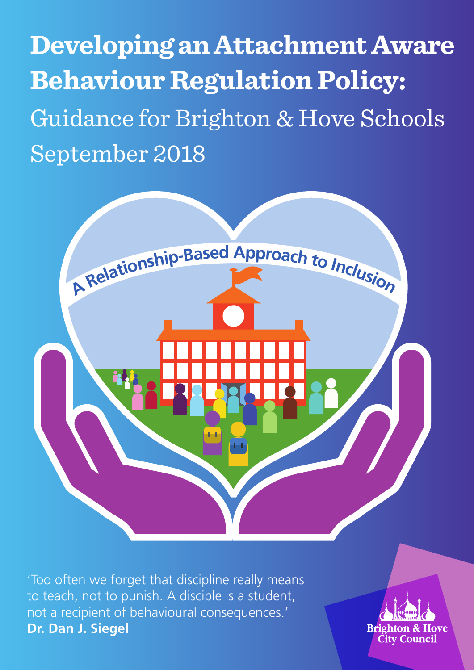**Developing an Attachment Aware Behaviour Regulation Policy:** Guidance for Brighton & Hove Schools September 2018



'Too often we forget that discipline really means to teach, not to punish. A disciple is a student, not a recipient of behavioural consequences.' **Dr. Dan J. Siegel**

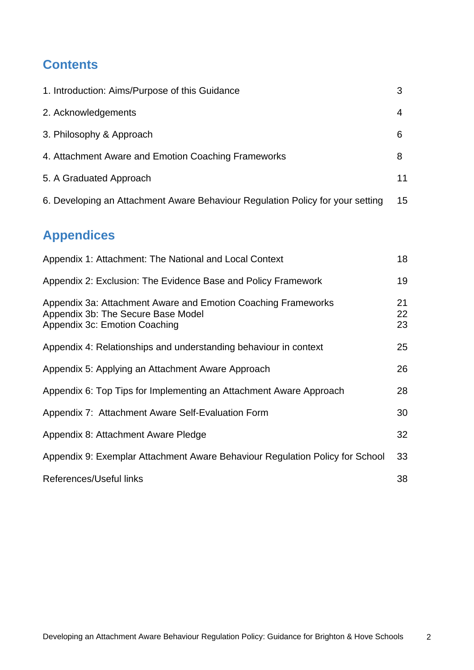# **Contents**

| 1. Introduction: Aims/Purpose of this Guidance                                                                                       | 3              |
|--------------------------------------------------------------------------------------------------------------------------------------|----------------|
| 2. Acknowledgements                                                                                                                  | 4              |
| 3. Philosophy & Approach                                                                                                             | 6              |
| 4. Attachment Aware and Emotion Coaching Frameworks                                                                                  | 8              |
| 5. A Graduated Approach                                                                                                              | 11             |
| 6. Developing an Attachment Aware Behaviour Regulation Policy for your setting                                                       | 15             |
| <b>Appendices</b>                                                                                                                    |                |
| Appendix 1: Attachment: The National and Local Context                                                                               | 18             |
| Appendix 2: Exclusion: The Evidence Base and Policy Framework                                                                        | 19             |
| Appendix 3a: Attachment Aware and Emotion Coaching Frameworks<br>Appendix 3b: The Secure Base Model<br>Appendix 3c: Emotion Coaching | 21<br>22<br>23 |
| Appendix 4: Relationships and understanding behaviour in context                                                                     | 25             |
| Appendix 5: Applying an Attachment Aware Approach                                                                                    | 26             |
| Appendix 6: Top Tips for Implementing an Attachment Aware Approach                                                                   | 28             |
| Appendix 7: Attachment Aware Self-Evaluation Form                                                                                    | 30             |
| Appendix 8: Attachment Aware Pledge                                                                                                  | 32             |
| Appendix 9: Exemplar Attachment Aware Behaviour Regulation Policy for School                                                         | 33             |

References/Useful links

38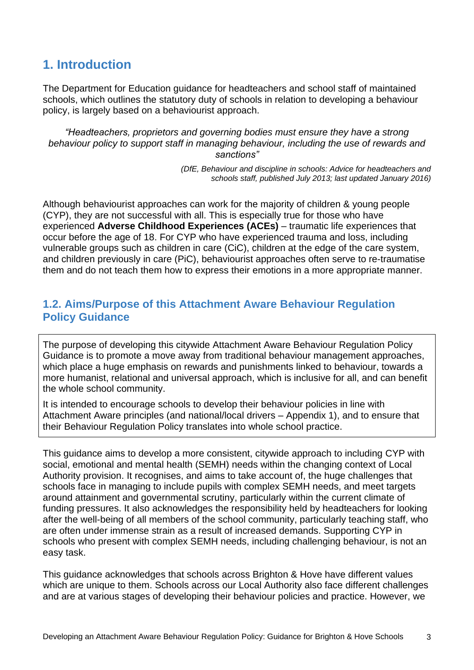# **1. Introduction**

The Department for Education guidance for headteachers and school staff of maintained schools, which outlines the statutory duty of schools in relation to developing a behaviour policy, is largely based on a behaviourist approach.

*"Headteachers, proprietors and governing bodies must ensure they have a strong behaviour policy to support staff in managing behaviour, including the use of rewards and sanctions"*

> *(DfE, Behaviour and discipline in schools: Advice for headteachers and schools staff, published July 2013; last updated January 2016)*

Although behaviourist approaches can work for the majority of children & young people (CYP), they are not successful with all. This is especially true for those who have experienced **Adverse Childhood Experiences (ACEs)** – traumatic life experiences that occur before the age of 18. For CYP who have experienced trauma and loss, including vulnerable groups such as children in care (CiC), children at the edge of the care system, and children previously in care (PiC), behaviourist approaches often serve to re-traumatise them and do not teach them how to express their emotions in a more appropriate manner.

## **1.2. Aims/Purpose of this Attachment Aware Behaviour Regulation Policy Guidance**

The purpose of developing this citywide Attachment Aware Behaviour Regulation Policy Guidance is to promote a move away from traditional behaviour management approaches, which place a huge emphasis on rewards and punishments linked to behaviour, towards a more humanist, relational and universal approach, which is inclusive for all, and can benefit the whole school community.

It is intended to encourage schools to develop their behaviour policies in line with Attachment Aware principles (and national/local drivers – Appendix 1), and to ensure that their Behaviour Regulation Policy translates into whole school practice.

This guidance aims to develop a more consistent, citywide approach to including CYP with social, emotional and mental health (SEMH) needs within the changing context of Local Authority provision. It recognises, and aims to take account of, the huge challenges that schools face in managing to include pupils with complex SEMH needs, and meet targets around attainment and governmental scrutiny, particularly within the current climate of funding pressures. It also acknowledges the responsibility held by headteachers for looking after the well-being of all members of the school community, particularly teaching staff, who are often under immense strain as a result of increased demands. Supporting CYP in schools who present with complex SEMH needs, including challenging behaviour, is not an easy task.

This guidance acknowledges that schools across Brighton & Hove have different values which are unique to them. Schools across our Local Authority also face different challenges and are at various stages of developing their behaviour policies and practice. However, we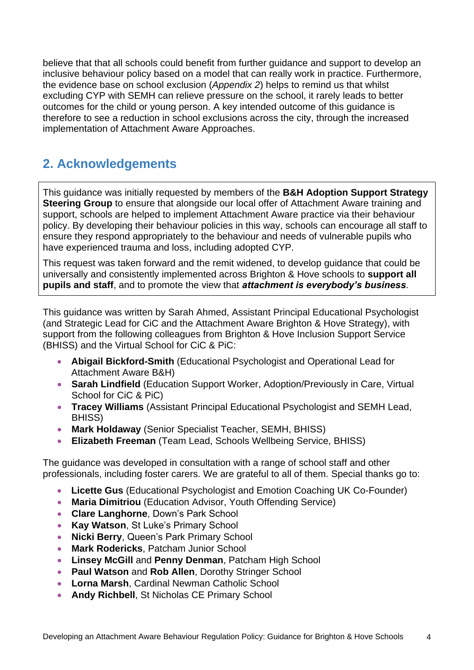believe that that all schools could benefit from further guidance and support to develop an inclusive behaviour policy based on a model that can really work in practice. Furthermore, the evidence base on school exclusion (*Appendix 2*) helps to remind us that whilst excluding CYP with SEMH can relieve pressure on the school, it rarely leads to better outcomes for the child or young person. A key intended outcome of this guidance is therefore to see a reduction in school exclusions across the city, through the increased implementation of Attachment Aware Approaches.

# **2. Acknowledgements**

This guidance was initially requested by members of the **B&H Adoption Support Strategy Steering Group** to ensure that alongside our local offer of Attachment Aware training and support, schools are helped to implement Attachment Aware practice via their behaviour policy. By developing their behaviour policies in this way, schools can encourage all staff to ensure they respond appropriately to the behaviour and needs of vulnerable pupils who have experienced trauma and loss, including adopted CYP.

This request was taken forward and the remit widened, to develop guidance that could be universally and consistently implemented across Brighton & Hove schools to **support all pupils and staff**, and to promote the view that *attachment is everybody's business*.

This guidance was written by Sarah Ahmed, Assistant Principal Educational Psychologist (and Strategic Lead for CiC and the Attachment Aware Brighton & Hove Strategy), with support from the following colleagues from Brighton & Hove Inclusion Support Service (BHISS) and the Virtual School for CiC & PiC:

- **Abigail Bickford-Smith** (Educational Psychologist and Operational Lead for Attachment Aware B&H)
- **Sarah Lindfield** (Education Support Worker, Adoption/Previously in Care, Virtual School for CiC & PiC)
- **Tracey Williams** (Assistant Principal Educational Psychologist and SEMH Lead, BHISS)
- **Mark Holdaway** (Senior Specialist Teacher, SEMH, BHISS)
- **Elizabeth Freeman** (Team Lead, Schools Wellbeing Service, BHISS)

The guidance was developed in consultation with a range of school staff and other professionals, including foster carers. We are grateful to all of them. Special thanks go to:

- **Licette Gus** (Educational Psychologist and Emotion Coaching UK Co-Founder)
- **Maria Dimitriou** (Education Advisor, Youth Offending Service)
- **Clare Langhorne**, Down's Park School
- **Kay Watson**, St Luke's Primary School
- **Nicki Berry**, Queen's Park Primary School
- **Mark Rodericks**, Patcham Junior School
- **Linsey McGill** and **Penny Denman**, Patcham High School
- **Paul Watson** and **Rob Allen**, Dorothy Stringer School
- **Lorna Marsh**, Cardinal Newman Catholic School
- **Andy Richbell**, St Nicholas CE Primary School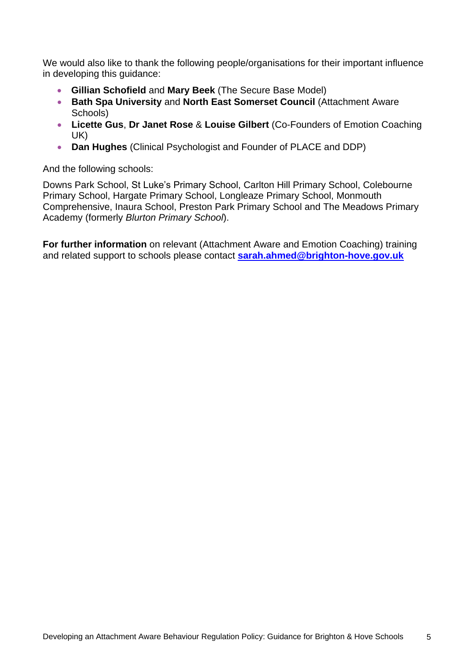We would also like to thank the following people/organisations for their important influence in developing this guidance:

- **Gillian Schofield** and **Mary Beek** (The Secure Base Model)
- **Bath Spa University** and **North East Somerset Council** (Attachment Aware Schools)
- **Licette Gus**, **Dr Janet Rose** & **Louise Gilbert** (Co-Founders of Emotion Coaching UK)
- **Dan Hughes** (Clinical Psychologist and Founder of PLACE and DDP)

And the following schools:

Downs Park School, St Luke's Primary School, Carlton Hill Primary School, Colebourne Primary School, Hargate Primary School, Longleaze Primary School, Monmouth Comprehensive, Inaura School, Preston Park Primary School and The Meadows Primary Academy (formerly *Blurton Primary School*).

**For further information** on relevant (Attachment Aware and Emotion Coaching) training and related support to schools please contact **[sarah.ahmed@brighton-hove.gov.uk](mailto:sarah.ahmed@brighton-hove.gov.uk)**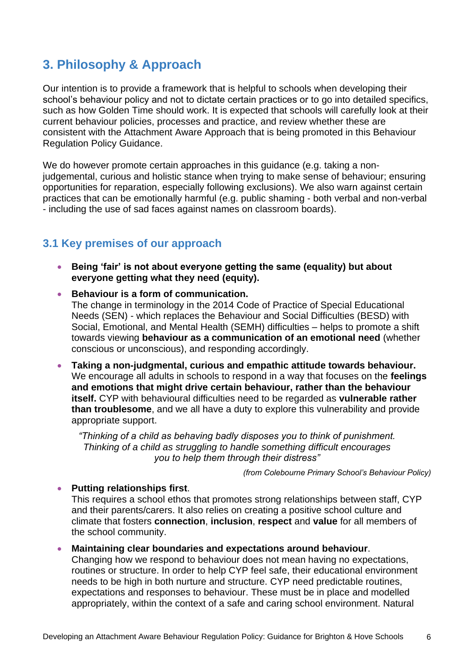# **3. Philosophy & Approach**

Our intention is to provide a framework that is helpful to schools when developing their school's behaviour policy and not to dictate certain practices or to go into detailed specifics, such as how Golden Time should work. It is expected that schools will carefully look at their current behaviour policies, processes and practice, and review whether these are consistent with the Attachment Aware Approach that is being promoted in this Behaviour Regulation Policy Guidance.

We do however promote certain approaches in this guidance (e.g. taking a nonjudgemental, curious and holistic stance when trying to make sense of behaviour; ensuring opportunities for reparation, especially following exclusions). We also warn against certain practices that can be emotionally harmful (e.g. public shaming - both verbal and non-verbal - including the use of sad faces against names on classroom boards).

## **3.1 Key premises of our approach**

- **Being 'fair' is not about everyone getting the same (equality) but about everyone getting what they need (equity).**
- **Behaviour is a form of communication.**  The change in terminology in the 2014 Code of Practice of Special Educational Needs (SEN) - which replaces the Behaviour and Social Difficulties (BESD) with Social, Emotional, and Mental Health (SEMH) difficulties – helps to promote a shift towards viewing **behaviour as a communication of an emotional need** (whether conscious or unconscious), and responding accordingly.
- **Taking a non-judgmental, curious and empathic attitude towards behaviour.** We encourage all adults in schools to respond in a way that focuses on the **feelings and emotions that might drive certain behaviour, rather than the behaviour itself.** CYP with behavioural difficulties need to be regarded as **vulnerable rather than troublesome**, and we all have a duty to explore this vulnerability and provide appropriate support.

*"Thinking of a child as behaving badly disposes you to think of punishment. Thinking of a child as struggling to handle something difficult encourages you to help them through their distress"*

*(from Colebourne Primary School's Behaviour Policy)*

#### **Putting relationships first**.

This requires a school ethos that promotes strong relationships between staff, CYP and their parents/carers. It also relies on creating a positive school culture and climate that fosters **connection**, **inclusion**, **respect** and **value** for all members of the school community.

 **Maintaining clear boundaries and expectations around behaviour**. Changing how we respond to behaviour does not mean having no expectations, routines or structure. In order to help CYP feel safe, their educational environment needs to be high in both nurture and structure. CYP need predictable routines, expectations and responses to behaviour. These must be in place and modelled appropriately, within the context of a safe and caring school environment. Natural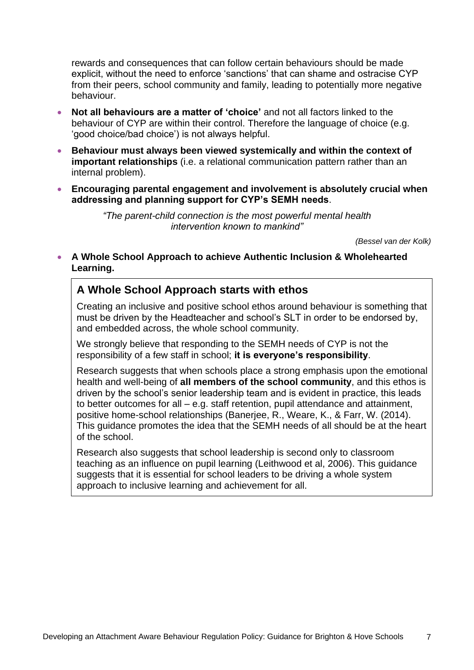rewards and consequences that can follow certain behaviours should be made explicit, without the need to enforce 'sanctions' that can shame and ostracise CYP from their peers, school community and family, leading to potentially more negative behaviour.

- **Not all behaviours are a matter of 'choice'** and not all factors linked to the behaviour of CYP are within their control. Therefore the language of choice (e.g. 'good choice/bad choice') is not always helpful.
- **Behaviour must always been viewed systemically and within the context of important relationships** (i.e. a relational communication pattern rather than an internal problem).
- **Encouraging parental engagement and involvement is absolutely crucial when addressing and planning support for CYP's SEMH needs**.

*"The parent-child connection is the most powerful mental health intervention known to mankind"* 

*(Bessel van der Kolk)*

 **A Whole School Approach to achieve Authentic Inclusion & Wholehearted Learning.**

## **A Whole School Approach starts with ethos**

Creating an inclusive and positive school ethos around behaviour is something that must be driven by the Headteacher and school's SLT in order to be endorsed by, and embedded across, the whole school community.

We strongly believe that responding to the SEMH needs of CYP is not the responsibility of a few staff in school; **it is everyone's responsibility**.

Research suggests that when schools place a strong emphasis upon the emotional health and well-being of **all members of the school community**, and this ethos is driven by the school's senior leadership team and is evident in practice, this leads to better outcomes for all – e.g. staff retention, pupil attendance and attainment, positive home-school relationships (Banerjee, R., Weare, K., & Farr, W. (2014). This guidance promotes the idea that the SEMH needs of all should be at the heart of the school.

Research also suggests that school leadership is second only to classroom teaching as an influence on pupil learning (Leithwood et al, 2006). This guidance suggests that it is essential for school leaders to be driving a whole system approach to inclusive learning and achievement for all.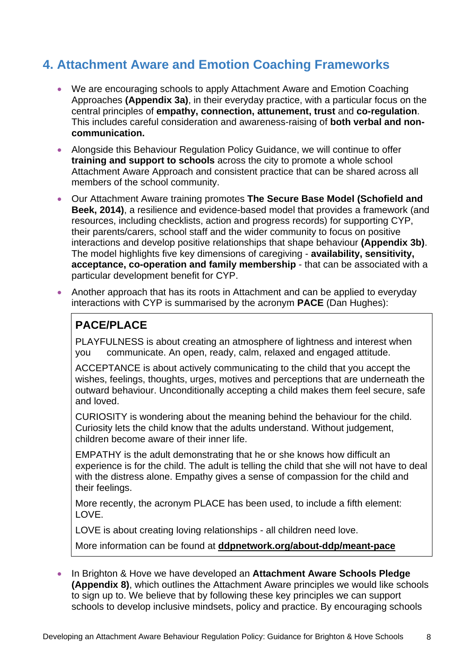# **4. Attachment Aware and Emotion Coaching Frameworks**

- We are encouraging schools to apply Attachment Aware and Emotion Coaching Approaches **(Appendix 3a)**, in their everyday practice, with a particular focus on the central principles of **empathy, connection, attunement, trust** and **co-regulation**. This includes careful consideration and awareness-raising of **both verbal and noncommunication.**
- Alongside this Behaviour Regulation Policy Guidance, we will continue to offer **training and support to schools** across the city to promote a whole school Attachment Aware Approach and consistent practice that can be shared across all members of the school community.
- Our Attachment Aware training promotes **The Secure Base Model (Schofield and Beek, 2014)**, a resilience and evidence-based model that provides a framework (and resources, including checklists, action and progress records) for supporting CYP, their parents/carers, school staff and the wider community to focus on positive interactions and develop positive relationships that shape behaviour **(Appendix 3b)**. The model highlights five key dimensions of caregiving - **availability, sensitivity, acceptance, co-operation and family membership** - that can be associated with a particular development benefit for CYP.
- Another approach that has its roots in Attachment and can be applied to everyday interactions with CYP is summarised by the acronym **PACE** (Dan Hughes):

# **PACE/PLACE**

PLAYFULNESS is about creating an atmosphere of lightness and interest when you communicate. An open, ready, calm, relaxed and engaged attitude.

ACCEPTANCE is about actively communicating to the child that you accept the wishes, feelings, thoughts, urges, motives and perceptions that are underneath the outward behaviour. Unconditionally accepting a child makes them feel secure, safe and loved.

CURIOSITY is wondering about the meaning behind the behaviour for the child. Curiosity lets the child know that the adults understand. Without judgement, children become aware of their inner life.

EMPATHY is the adult demonstrating that he or she knows how difficult an experience is for the child. The adult is telling the child that she will not have to deal with the distress alone. Empathy gives a sense of compassion for the child and their feelings.

More recently, the acronym PLACE has been used, to include a fifth element: LOVE.

LOVE is about creating loving relationships - all children need love.

More information can be found at **[ddpnetwork.org/about-ddp/meant-pace](https://ddpnetwork.org/about-ddp/meant-pace/)**

 In Brighton & Hove we have developed an **Attachment Aware Schools Pledge (Appendix 8)**, which outlines the Attachment Aware principles we would like schools to sign up to. We believe that by following these key principles we can support schools to develop inclusive mindsets, policy and practice. By encouraging schools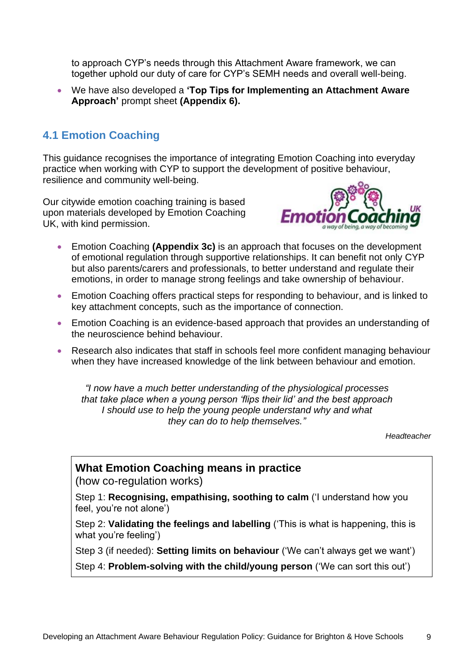to approach CYP's needs through this Attachment Aware framework, we can together uphold our duty of care for CYP's SEMH needs and overall well-being.

 We have also developed a **'Top Tips for Implementing an Attachment Aware Approach'** prompt sheet **(Appendix 6).**

## **4.1 Emotion Coaching**

This guidance recognises the importance of integrating Emotion Coaching into everyday practice when working with CYP to support the development of positive behaviour, resilience and community well-being.

Our citywide emotion coaching training is based upon materials developed by Emotion Coaching UK, with kind permission.



- Emotion Coaching **(Appendix 3c)** is an approach that focuses on the development of emotional regulation through supportive relationships. It can benefit not only CYP but also parents/carers and professionals, to better understand and regulate their emotions, in order to manage strong feelings and take ownership of behaviour.
- Emotion Coaching offers practical steps for responding to behaviour, and is linked to key attachment concepts, such as the importance of connection.
- Emotion Coaching is an evidence-based approach that provides an understanding of the neuroscience behind behaviour.
- Research also indicates that staff in schools feel more confident managing behaviour when they have increased knowledge of the link between behaviour and emotion.

*"I now have a much better understanding of the physiological processes that take place when a young person 'flips their lid' and the best approach I should use to help the young people understand why and what they can do to help themselves."*

*Headteacher*

### **What Emotion Coaching means in practice**

(how co-regulation works)

Step 1: **Recognising, empathising, soothing to calm** ('I understand how you feel, you're not alone')

Step 2: **Validating the feelings and labelling** ('This is what is happening, this is what you're feeling')

Step 3 (if needed): **Setting limits on behaviour** ('We can't always get we want')

Step 4: **Problem-solving with the child/young person** ('We can sort this out')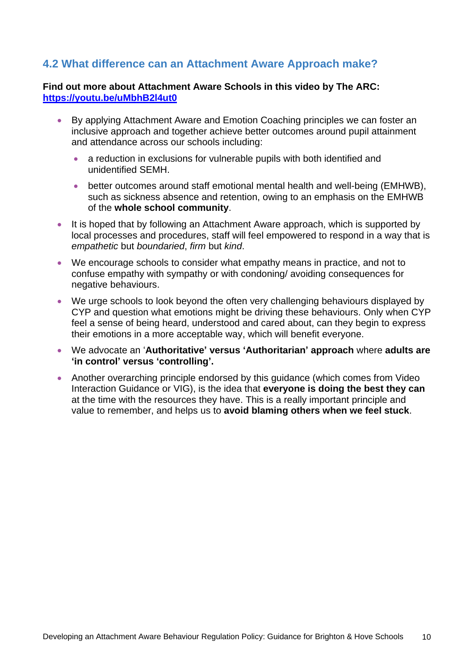## **4.2 What difference can an Attachment Aware Approach make?**

#### **Find out more about Attachment Aware Schools in this video by The ARC: <https://youtu.be/uMbhB2l4ut0>**

- By applying Attachment Aware and Emotion Coaching principles we can foster an inclusive approach and together achieve better outcomes around pupil attainment and attendance across our schools including:
	- a reduction in exclusions for vulnerable pupils with both identified and unidentified SEMH.
	- better outcomes around staff emotional mental health and well-being (EMHWB), such as sickness absence and retention, owing to an emphasis on the EMHWB of the **whole school community**.
- It is hoped that by following an Attachment Aware approach, which is supported by local processes and procedures, staff will feel empowered to respond in a way that is *empathetic* but *boundaried*, *firm* but *kind*.
- We encourage schools to consider what empathy means in practice, and not to confuse empathy with sympathy or with condoning/ avoiding consequences for negative behaviours.
- We urge schools to look beyond the often very challenging behaviours displayed by CYP and question what emotions might be driving these behaviours. Only when CYP feel a sense of being heard, understood and cared about, can they begin to express their emotions in a more acceptable way, which will benefit everyone.
- We advocate an '**Authoritative' versus 'Authoritarian' approach** where **adults are 'in control' versus 'controlling'.**
- Another overarching principle endorsed by this guidance (which comes from Video Interaction Guidance or VIG), is the idea that **everyone is doing the best they can** at the time with the resources they have. This is a really important principle and value to remember, and helps us to **avoid blaming others when we feel stuck**.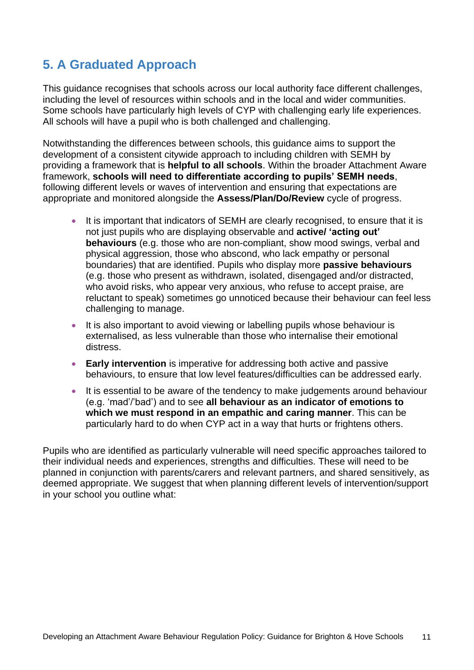# **5. A Graduated Approach**

This guidance recognises that schools across our local authority face different challenges, including the level of resources within schools and in the local and wider communities. Some schools have particularly high levels of CYP with challenging early life experiences. All schools will have a pupil who is both challenged and challenging.

Notwithstanding the differences between schools, this guidance aims to support the development of a consistent citywide approach to including children with SEMH by providing a framework that is **helpful to all schools**. Within the broader Attachment Aware framework, **schools will need to differentiate according to pupils' SEMH needs**, following different levels or waves of intervention and ensuring that expectations are appropriate and monitored alongside the **Assess/Plan/Do/Review** cycle of progress.

- It is important that indicators of SEMH are clearly recognised, to ensure that it is not just pupils who are displaying observable and **active/ 'acting out' behaviours** (e.g. those who are non-compliant, show mood swings, verbal and physical aggression, those who abscond, who lack empathy or personal boundaries) that are identified. Pupils who display more **passive behaviours** (e.g. those who present as withdrawn, isolated, disengaged and/or distracted, who avoid risks, who appear very anxious, who refuse to accept praise, are reluctant to speak) sometimes go unnoticed because their behaviour can feel less challenging to manage.
- It is also important to avoid viewing or labelling pupils whose behaviour is externalised, as less vulnerable than those who internalise their emotional distress.
- **Early intervention** is imperative for addressing both active and passive behaviours, to ensure that low level features/difficulties can be addressed early.
- It is essential to be aware of the tendency to make judgements around behaviour (e.g. 'mad'/'bad') and to see **all behaviour as an indicator of emotions to which we must respond in an empathic and caring manner**. This can be particularly hard to do when CYP act in a way that hurts or frightens others.

Pupils who are identified as particularly vulnerable will need specific approaches tailored to their individual needs and experiences, strengths and difficulties. These will need to be planned in conjunction with parents/carers and relevant partners, and shared sensitively, as deemed appropriate. We suggest that when planning different levels of intervention/support in your school you outline what: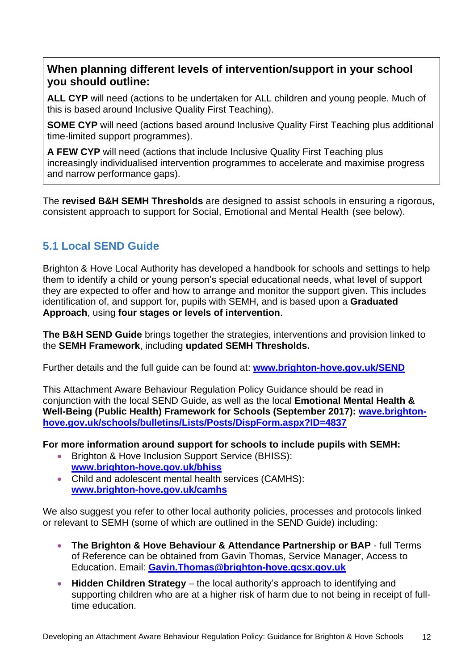## **When planning different levels of intervention/support in your school you should outline:**

**ALL CYP** will need (actions to be undertaken for ALL children and young people. Much of this is based around Inclusive Quality First Teaching).

**SOME CYP** will need (actions based around Inclusive Quality First Teaching plus additional time-limited support programmes).

**A FEW CYP** will need (actions that include Inclusive Quality First Teaching plus increasingly individualised intervention programmes to accelerate and maximise progress and narrow performance gaps).

The **revised B&H SEMH Thresholds** are designed to assist schools in ensuring a rigorous, consistent approach to support for Social, Emotional and Mental Health (see below).

# **5.1 Local SEND Guide**

Brighton & Hove Local Authority has developed a handbook for schools and settings to help them to identify a child or young person's special educational needs, what level of support they are expected to offer and how to arrange and monitor the support given. This includes identification of, and support for, pupils with SEMH, and is based upon a **Graduated Approach**, using **four stages or levels of intervention**.

**The B&H SEND Guide** brings together the strategies, interventions and provision linked to the **SEMH Framework**, including **updated SEMH Thresholds.** 

Further details and the full guide can be found at: **[www.brighton-hove.gov.uk/SEND](http://www.brighton-hove.gov.uk/SEND)**

This Attachment Aware Behaviour Regulation Policy Guidance should be read in conjunction with the local SEND Guide, as well as the local **Emotional Mental Health & Well-Being (Public Health) Framework for Schools (September 2017): [wave.brighton](http://wave.brighton-hove.gov.uk/schools/bulletins/Lists/Posts/DispForm.aspx?ID=4837)[hove.gov.uk/schools/bulletins/Lists/Posts/DispForm.aspx?ID=4837](http://wave.brighton-hove.gov.uk/schools/bulletins/Lists/Posts/DispForm.aspx?ID=4837)**

**For more information around support for schools to include pupils with SEMH:**

- Brighton & Hove Inclusion Support Service (BHISS): **[www.brighton-hove.gov.uk/bhiss](http://www.brighton-hove.gov.uk/bhiss)**
- Child and adolescent mental health services (CAMHS): **[www.brighton-hove.gov.uk/camhs](http://www.brighton-hove.gov.uk/camhs)**

We also suggest you refer to other local authority policies, processes and protocols linked or relevant to SEMH (some of which are outlined in the SEND Guide) including:

- **The Brighton & Hove Behaviour & Attendance Partnership or BAP** full Terms of Reference can be obtained from Gavin Thomas, Service Manager, Access to Education. Email: **[Gavin.Thomas@brighton-hove.gcsx.gov.uk](mailto:Gavin.Thomas@brighton-hove.gcsx.gov.uk)**
- **Hidden Children Strategy** the local authority's approach to identifying and supporting children who are at a higher risk of harm due to not being in receipt of fulltime education.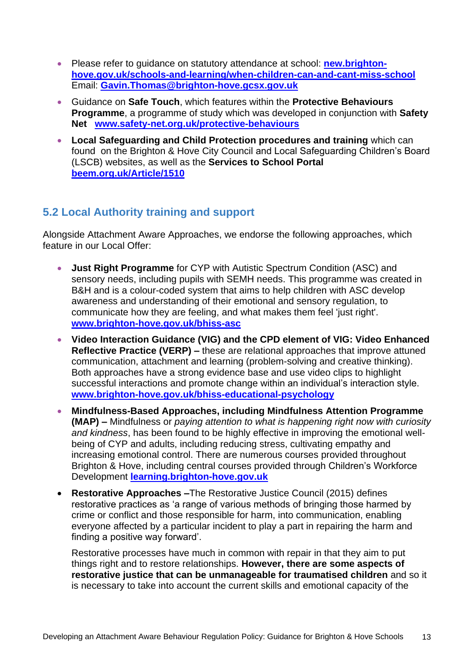- Please refer to guidance on statutory attendance at school: **[new.brighton](http://new.brighton-hove.gov.uk/schools-and-learning/when-children-can-and-cant-miss-school)[hove.gov.uk/schools-and-learning/when-children-can-and-cant-miss-school](http://new.brighton-hove.gov.uk/schools-and-learning/when-children-can-and-cant-miss-school)** Email: **[Gavin.Thomas@brighton-hove.gcsx.gov.uk](mailto:Gavin.Thomas@brighton-hove.gcsx.gov.uk)**
- Guidance on **Safe Touch**, which features within the **Protective Behaviours Programme**, a programme of study which was developed in conjunction with **Safety Net [www.safety-net.org.uk/protective-behaviours](http://www.safety-net.org.uk/protective-behaviours)**
- **Local Safeguarding and Child Protection procedures and training** which can found on the Brighton & Hove City Council and Local Safeguarding Children's Board (LSCB) websites, as well as the **Services to School Portal [beem.org.uk/Article/1510](http://beem.org.uk/Article/1510)**

# **5.2 Local Authority training and support**

Alongside Attachment Aware Approaches, we endorse the following approaches, which feature in our Local Offer:

- **Just Right Programme** for CYP with Autistic Spectrum Condition (ASC) and sensory needs, including pupils with SEMH needs. This programme was created in B&H and is a colour-coded system that aims to help children with ASC develop awareness and understanding of their emotional and sensory regulation, to communicate how they are feeling, and what makes them feel 'just right'. **[www.brighton-hove.gov.uk/bhiss-asc](http://www.brighton-hove.gov.uk/bhiss-asc)**
- **Video Interaction Guidance (VIG) and the CPD element of VIG: Video Enhanced Reflective Practice (VERP) –** these are relational approaches that improve attuned communication, attachment and learning (problem-solving and creative thinking). Both approaches have a strong evidence base and use video clips to highlight successful interactions and promote change within an individual's interaction style. **[www.brighton-hove.gov.uk/bhiss-educational-psychology](http://www.brighton-hove.gov.uk/bhiss-educational-psychology)**
- **Mindfulness-Based Approaches, including Mindfulness Attention Programme (MAP) –** Mindfulness or *paying attention to what is happening right now with curiosity and kindness*, has been found to be highly effective in improving the emotional wellbeing of CYP and adults, including reducing stress, cultivating empathy and increasing emotional control. There are numerous courses provided throughout Brighton & Hove, including central courses provided through Children's Workforce Development **[learning.brighton-hove.gov.uk](https://learning.brighton-hove.gov.uk/cpd/portal.asp)**
- **Restorative Approaches –**The Restorative Justice Council (2015) defines restorative practices as 'a range of various methods of bringing those harmed by crime or conflict and those responsible for harm, into communication, enabling everyone affected by a particular incident to play a part in repairing the harm and finding a positive way forward'.

Restorative processes have much in common with repair in that they aim to put things right and to restore relationships. **However, there are some aspects of restorative justice that can be unmanageable for traumatised children** and so it is necessary to take into account the current skills and emotional capacity of the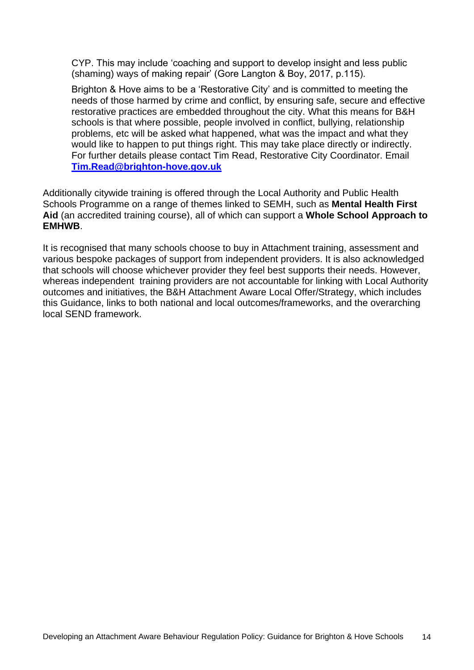CYP. This may include 'coaching and support to develop insight and less public (shaming) ways of making repair' (Gore Langton & Boy, 2017, p.115).

Brighton & Hove aims to be a 'Restorative City' and is committed to meeting the needs of those harmed by crime and conflict, by ensuring safe, secure and effective restorative practices are embedded throughout the city. What this means for B&H schools is that where possible, people involved in conflict, bullying, relationship problems, etc will be asked what happened, what was the impact and what they would like to happen to put things right. This may take place directly or indirectly. For further details please contact Tim Read, Restorative City Coordinator. Email **[Tim.Read@brighton-hove.gov.uk](mailto:Tim.Read@brighton-hove.gov.uk)**

Additionally citywide training is offered through the Local Authority and Public Health Schools Programme on a range of themes linked to SEMH, such as **Mental Health First Aid** (an accredited training course), all of which can support a **Whole School Approach to EMHWB**.

It is recognised that many schools choose to buy in Attachment training, assessment and various bespoke packages of support from independent providers. It is also acknowledged that schools will choose whichever provider they feel best supports their needs. However, whereas independent training providers are not accountable for linking with Local Authority outcomes and initiatives, the B&H Attachment Aware Local Offer/Strategy, which includes this Guidance, links to both national and local outcomes/frameworks, and the overarching local SEND framework.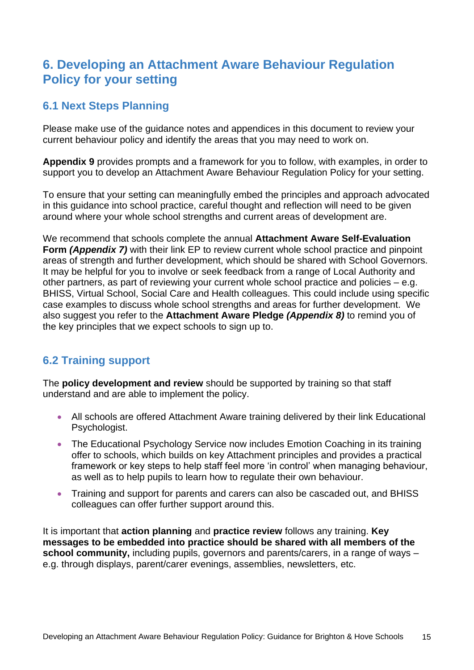# **6. Developing an Attachment Aware Behaviour Regulation Policy for your setting**

# **6.1 Next Steps Planning**

Please make use of the guidance notes and appendices in this document to review your current behaviour policy and identify the areas that you may need to work on.

**Appendix 9** provides prompts and a framework for you to follow, with examples, in order to support you to develop an Attachment Aware Behaviour Regulation Policy for your setting.

To ensure that your setting can meaningfully embed the principles and approach advocated in this guidance into school practice, careful thought and reflection will need to be given around where your whole school strengths and current areas of development are.

We recommend that schools complete the annual **Attachment Aware Self-Evaluation Form** *(Appendix 7)* with their link EP to review current whole school practice and pinpoint areas of strength and further development, which should be shared with School Governors. It may be helpful for you to involve or seek feedback from a range of Local Authority and other partners, as part of reviewing your current whole school practice and policies – e.g. BHISS, Virtual School, Social Care and Health colleagues. This could include using specific case examples to discuss whole school strengths and areas for further development. We also suggest you refer to the **Attachment Aware Pledge** *(Appendix 8)* to remind you of the key principles that we expect schools to sign up to.

## **6.2 Training support**

The **policy development and review** should be supported by training so that staff understand and are able to implement the policy.

- All schools are offered Attachment Aware training delivered by their link Educational Psychologist.
- The Educational Psychology Service now includes Emotion Coaching in its training offer to schools, which builds on key Attachment principles and provides a practical framework or key steps to help staff feel more 'in control' when managing behaviour, as well as to help pupils to learn how to regulate their own behaviour.
- Training and support for parents and carers can also be cascaded out, and BHISS colleagues can offer further support around this.

It is important that **action planning** and **practice review** follows any training. **Key messages to be embedded into practice should be shared with all members of the school community,** including pupils, governors and parents/carers, in a range of ways – e.g. through displays, parent/carer evenings, assemblies, newsletters, etc.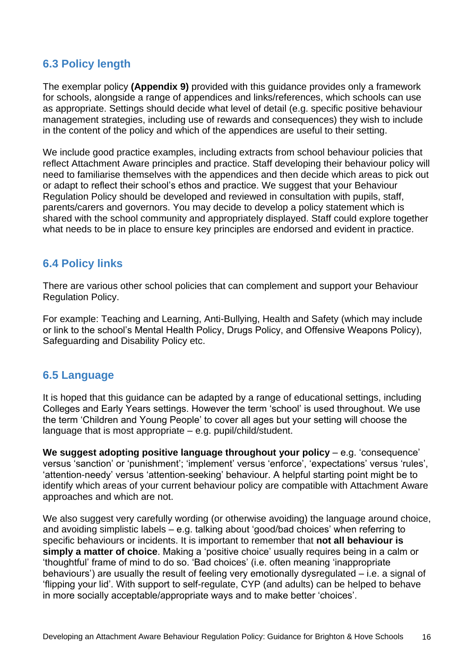## **6.3 Policy length**

The exemplar policy **(Appendix 9)** provided with this guidance provides only a framework for schools, alongside a range of appendices and links/references, which schools can use as appropriate. Settings should decide what level of detail (e.g. specific positive behaviour management strategies, including use of rewards and consequences) they wish to include in the content of the policy and which of the appendices are useful to their setting.

We include good practice examples, including extracts from school behaviour policies that reflect Attachment Aware principles and practice. Staff developing their behaviour policy will need to familiarise themselves with the appendices and then decide which areas to pick out or adapt to reflect their school's ethos and practice. We suggest that your Behaviour Regulation Policy should be developed and reviewed in consultation with pupils, staff, parents/carers and governors. You may decide to develop a policy statement which is shared with the school community and appropriately displayed. Staff could explore together what needs to be in place to ensure key principles are endorsed and evident in practice.

### **6.4 Policy links**

There are various other school policies that can complement and support your Behaviour Regulation Policy.

For example: Teaching and Learning, Anti-Bullying, Health and Safety (which may include or link to the school's Mental Health Policy, Drugs Policy, and Offensive Weapons Policy), Safeguarding and Disability Policy etc.

### **6.5 Language**

It is hoped that this guidance can be adapted by a range of educational settings, including Colleges and Early Years settings. However the term 'school' is used throughout. We use the term 'Children and Young People' to cover all ages but your setting will choose the language that is most appropriate – e.g. pupil/child/student.

**We suggest adopting positive language throughout your policy** – e.g. 'consequence' versus 'sanction' or 'punishment'; 'implement' versus 'enforce', 'expectations' versus 'rules', 'attention-needy' versus 'attention-seeking' behaviour. A helpful starting point might be to identify which areas of your current behaviour policy are compatible with Attachment Aware approaches and which are not.

We also suggest very carefully wording (or otherwise avoiding) the language around choice, and avoiding simplistic labels – e.g. talking about 'good/bad choices' when referring to specific behaviours or incidents. It is important to remember that **not all behaviour is simply a matter of choice**. Making a 'positive choice' usually requires being in a calm or 'thoughtful' frame of mind to do so. 'Bad choices' (i.e. often meaning 'inappropriate behaviours') are usually the result of feeling very emotionally dysregulated – i.e. a signal of 'flipping your lid'. With support to self-regulate, CYP (and adults) can be helped to behave in more socially acceptable/appropriate ways and to make better 'choices'.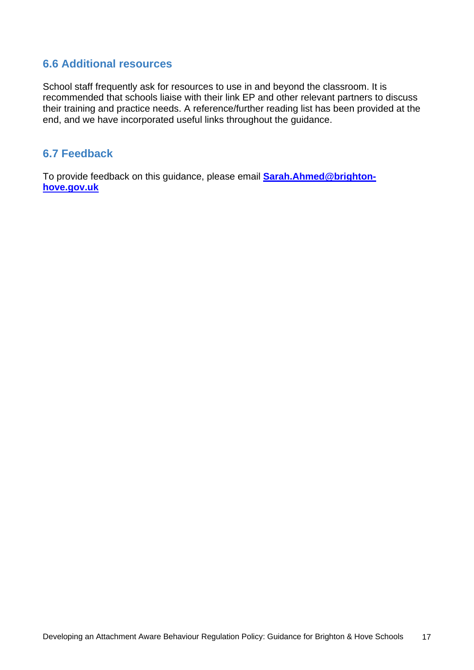### **6.6 Additional resources**

School staff frequently ask for resources to use in and beyond the classroom. It is recommended that schools liaise with their link EP and other relevant partners to discuss their training and practice needs. A reference/further reading list has been provided at the end, and we have incorporated useful links throughout the guidance.

### **6.7 Feedback**

To provide feedback on this guidance, please email **[Sarah.Ahmed@brighton](mailto:Sarah.Ahmed@brighton-hove.gov.uk)[hove.gov.uk](mailto:Sarah.Ahmed@brighton-hove.gov.uk)**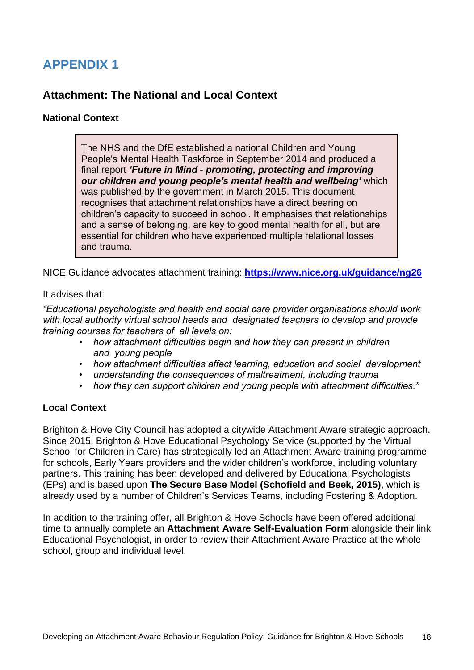## **Attachment: The National and Local Context**

### **National Context**

The NHS and the DfE established a national Children and Young People's Mental Health Taskforce in September 2014 and produced a final report *'Future in Mind - promoting, protecting and improving our children and young people's mental health and wellbeing'* which was published by the government in March 2015. This document recognises that attachment relationships have a direct bearing on children's capacity to succeed in school. It emphasises that relationships and a sense of belonging, are key to good mental health for all, but are essential for children who have experienced multiple relational losses and trauma.

NICE Guidance advocates attachment training: **<https://www.nice.org.uk/guidance/ng26>**

### It advises that:

*"Educational psychologists and health and social care provider organisations should work with local authority virtual school heads and designated teachers to develop and provide training courses for teachers of all levels on:* 

- *how attachment difficulties begin and how they can present in children and young people*
- *how attachment difficulties affect learning, education and social development*
- *understanding the consequences of maltreatment, including trauma*
- *how they can support children and young people with attachment difficulties."*

### **Local Context**

Brighton & Hove City Council has adopted a citywide Attachment Aware strategic approach. Since 2015, Brighton & Hove Educational Psychology Service (supported by the Virtual School for Children in Care) has strategically led an Attachment Aware training programme for schools, Early Years providers and the wider children's workforce, including voluntary partners. This training has been developed and delivered by Educational Psychologists (EPs) and is based upon **The Secure Base Model (Schofield and Beek, 2015)**, which is already used by a number of Children's Services Teams, including Fostering & Adoption.

In addition to the training offer, all Brighton & Hove Schools have been offered additional time to annually complete an **Attachment Aware Self-Evaluation Form** alongside their link Educational Psychologist, in order to review their Attachment Aware Practice at the whole school, group and individual level.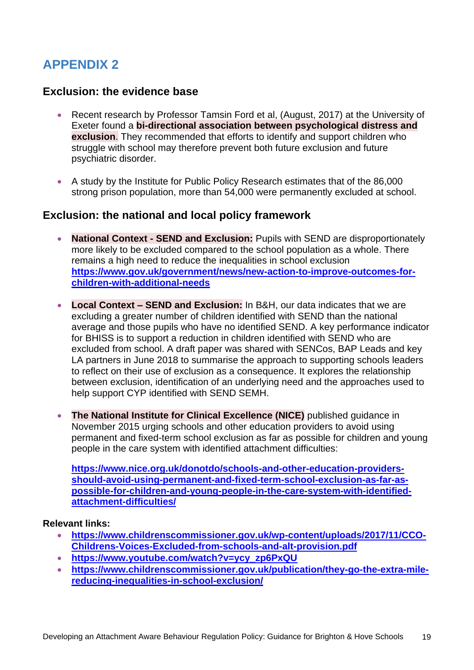### **Exclusion: the evidence base**

- Recent research by Professor Tamsin Ford et al, (August, 2017) at the University of Exeter found a **bi-directional association between psychological distress and exclusion.** They recommended that efforts to identify and support children who struggle with school may therefore prevent both future exclusion and future psychiatric disorder.
- A study by the Institute for Public Policy Research estimates that of the 86,000 strong prison population, more than 54,000 were permanently excluded at school.

### **Exclusion: the national and local policy framework**

- **National Context - SEND and Exclusion:** Pupils with SEND are disproportionately more likely to be excluded compared to the school population as a whole. There remains a high need to reduce the inequalities in school exclusion **[https://www.gov.uk/government/news/new-action-to-improve-outcomes-for](https://www.gov.uk/government/news/new-action-to-improve-outcomes-for-children-with-additional-needs)[children-with-additional-needs](https://www.gov.uk/government/news/new-action-to-improve-outcomes-for-children-with-additional-needs)**
- **Local Context – SEND and Exclusion:** In B&H, our data indicates that we are excluding a greater number of children identified with SEND than the national average and those pupils who have no identified SEND. A key performance indicator for BHISS is to support a reduction in children identified with SEND who are excluded from school. A draft paper was shared with SENCos, BAP Leads and key LA partners in June 2018 to summarise the approach to supporting schools leaders to reflect on their use of exclusion as a consequence. It explores the relationship between exclusion, identification of an underlying need and the approaches used to help support CYP identified with SEND SEMH.
- **The National Institute for Clinical Excellence (NICE)** published guidance in November 2015 urging schools and other education providers to avoid using permanent and fixed-term school exclusion as far as possible for children and young people in the care system with identified attachment difficulties:

**[https://www.nice.org.uk/donotdo/schools-and-other-education-providers](https://www.nice.org.uk/donotdo/schools-and-other-education-providers-should-avoid-using-permanent-and-fixed-term-school-exclusion-as-far-as-possible-for-children-and-young-people-in-the-care-system-with-identified-attachment-difficulties/)[should-avoid-using-permanent-and-fixed-term-school-exclusion-as-far-as](https://www.nice.org.uk/donotdo/schools-and-other-education-providers-should-avoid-using-permanent-and-fixed-term-school-exclusion-as-far-as-possible-for-children-and-young-people-in-the-care-system-with-identified-attachment-difficulties/)[possible-for-children-and-young-people-in-the-care-system-with-identified](https://www.nice.org.uk/donotdo/schools-and-other-education-providers-should-avoid-using-permanent-and-fixed-term-school-exclusion-as-far-as-possible-for-children-and-young-people-in-the-care-system-with-identified-attachment-difficulties/)[attachment-difficulties/](https://www.nice.org.uk/donotdo/schools-and-other-education-providers-should-avoid-using-permanent-and-fixed-term-school-exclusion-as-far-as-possible-for-children-and-young-people-in-the-care-system-with-identified-attachment-difficulties/)**

### **Relevant links:**

- **[https://www.childrenscommissioner.gov.uk/wp-content/uploads/2017/11/CCO-](https://www.childrenscommissioner.gov.uk/wp-content/uploads/2017/11/CCO-Childrens-Voices-Excluded-from-schools-and-alt-provision.pdf)[Childrens-Voices-Excluded-from-schools-and-alt-provision.pdf](https://www.childrenscommissioner.gov.uk/wp-content/uploads/2017/11/CCO-Childrens-Voices-Excluded-from-schools-and-alt-provision.pdf)**
- **[https://www.youtube.com/watch?v=ycy\\_zp6PxQU](https://www.youtube.com/watch?v=ycy_zp6PxQU)**
- **[https://www.childrenscommissioner.gov.uk/publication/they-go-the-extra-mile](https://www.childrenscommissioner.gov.uk/publication/they-go-the-extra-mile-reducing-inequalities-in-school-exclusion/)[reducing-inequalities-in-school-exclusion/](https://www.childrenscommissioner.gov.uk/publication/they-go-the-extra-mile-reducing-inequalities-in-school-exclusion/)**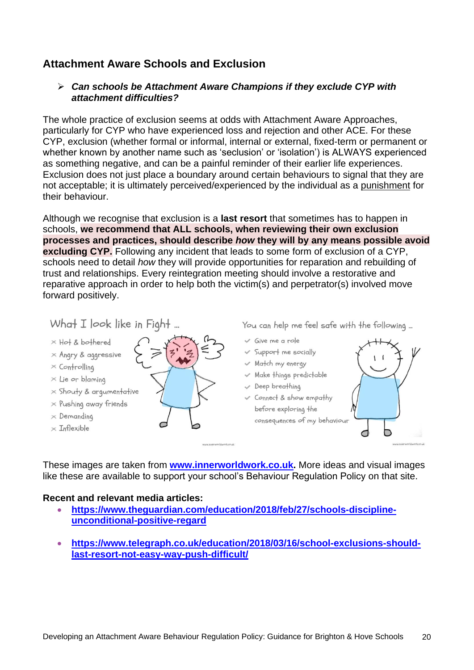## **Attachment Aware Schools and Exclusion**

### *Can schools be Attachment Aware Champions if they exclude CYP with attachment difficulties?*

The whole practice of exclusion seems at odds with Attachment Aware Approaches, particularly for CYP who have experienced loss and rejection and other ACE. For these CYP, exclusion (whether formal or informal, internal or external, fixed-term or permanent or whether known by another name such as 'seclusion' or 'isolation') is ALWAYS experienced as something negative, and can be a painful reminder of their earlier life experiences. Exclusion does not just place a boundary around certain behaviours to signal that they are not acceptable; it is ultimately perceived/experienced by the individual as a punishment for their behaviour.

Although we recognise that exclusion is a **last resort** that sometimes has to happen in schools, **we recommend that ALL schools, when reviewing their own exclusion processes and practices, should describe** *how* **they will by any means possible avoid excluding CYP.** Following any incident that leads to some form of exclusion of a CYP, schools need to detail *how* they will provide opportunities for reparation and rebuilding of trust and relationships. Every reintegration meeting should involve a restorative and reparative approach in order to help both the victim(s) and perpetrator(s) involved move forward positively.

### What  $I$  look like in Fight ...



- $\times$  Angry & aggressive
- $\times$  Controlling
- $\times$  Lie or blaming
- $\times$  Shouty & argumentative
- $\times$  Pushing away friends
- $\times$  Demanding
- $\times$  Inflexible

You can help me feel safe with the following ...

- $\vee$  Give me a role
- v Support me socially
- V Match my energy
- Make things predictable
- Beep breathing
- Connect & show empathy before exploring the consequences of my behaviour



These images are taken from **[www.innerworldwork.co.uk.](http://www.innerworldwork.co.uk/)** More ideas and visual images like these are available to support your school's Behaviour Regulation Policy on that site.

### **Recent and relevant media articles:**

- **[https://www.theguardian.com/education/2018/feb/27/schools-discipline](https://www.theguardian.com/education/2018/feb/27/schools-discipline-unconditional-positive-regard)[unconditional-positive-regard](https://www.theguardian.com/education/2018/feb/27/schools-discipline-unconditional-positive-regard)**
- **[https://www.telegraph.co.uk/education/2018/03/16/school-exclusions-should](https://www.telegraph.co.uk/education/2018/03/16/school-exclusions-should-last-resort-not-easy-way-push-difficult/)[last-resort-not-easy-way-push-difficult/](https://www.telegraph.co.uk/education/2018/03/16/school-exclusions-should-last-resort-not-easy-way-push-difficult/)**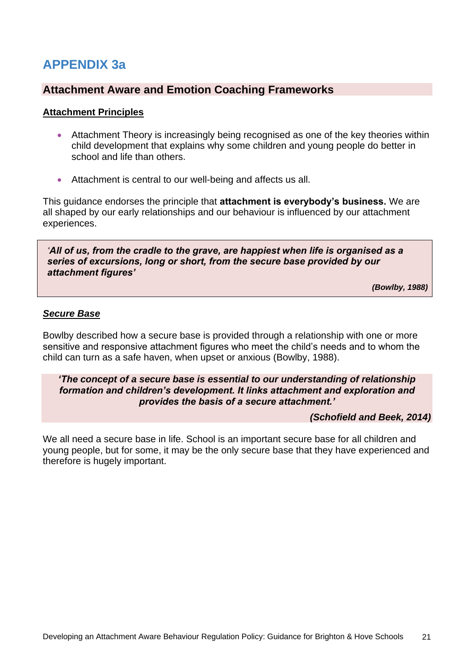# **APPENDIX 3a**

### **Attachment Aware and Emotion Coaching Frameworks**

#### **Attachment Principles**

- Attachment Theory is increasingly being recognised as one of the key theories within child development that explains why some children and young people do better in school and life than others.
- Attachment is central to our well-being and affects us all.

This guidance endorses the principle that **attachment is everybody's business.** We are all shaped by our early relationships and our behaviour is influenced by our attachment experiences.

*'All of us, from the cradle to the grave, are happiest when life is organised as a series of excursions, long or short, from the secure base provided by our attachment figures'* 

*(Bowlby, 1988)*

#### *Secure Base*

Bowlby described how a secure base is provided through a relationship with one or more sensitive and responsive attachment figures who meet the child's needs and to whom the child can turn as a safe haven, when upset or anxious (Bowlby, 1988).

#### *'The concept of a secure base is essential to our understanding of relationship formation and children's development. It links attachment and exploration and provides the basis of a secure attachment.'*

#### *(Schofield and Beek, 2014)*

We all need a secure base in life. School is an important secure base for all children and young people, but for some, it may be the only secure base that they have experienced and therefore is hugely important.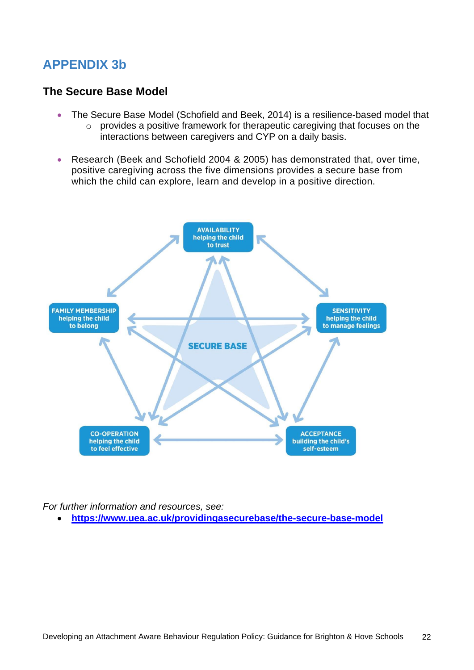# **APPENDIX 3b**

### **The Secure Base Model**

- The Secure Base Model (Schofield and Beek, 2014) is a resilience-based model that
	- o provides a positive framework for therapeutic caregiving that focuses on the interactions between caregivers and CYP on a daily basis.
- Research (Beek and Schofield 2004 & 2005) has demonstrated that, over time, positive caregiving across the five dimensions provides a secure base from which the child can explore, learn and develop in a positive direction.



*For further information and resources, see:*

**<https://www.uea.ac.uk/providingasecurebase/the-secure-base-model>**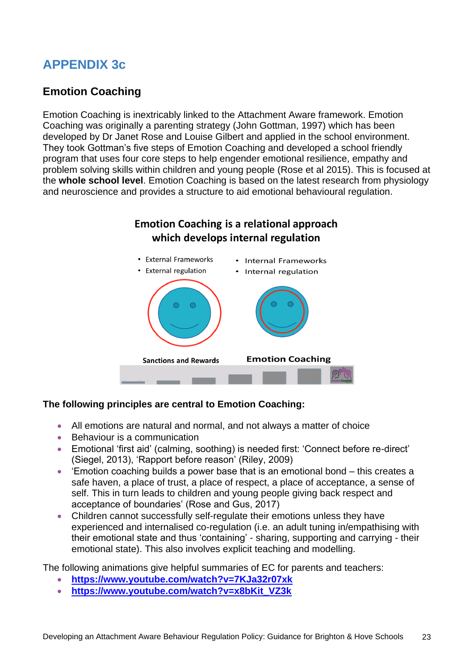# **APPENDIX 3c**

## **Emotion Coaching**

Emotion Coaching is inextricably linked to the Attachment Aware framework. Emotion Coaching was originally a parenting strategy (John Gottman, 1997) which has been developed by Dr Janet Rose and Louise Gilbert and applied in the school environment. They took Gottman's five steps of Emotion Coaching and developed a school friendly program that uses four core steps to help engender emotional resilience, empathy and problem solving skills within children and young people (Rose et al 2015). This is focused at the **whole school level**. Emotion Coaching is based on the latest research from physiology and neuroscience and provides a structure to aid emotional behavioural regulation.



### **The following principles are central to Emotion Coaching:**

- All emotions are natural and normal, and not always a matter of choice
- Behaviour is a communication
- Emotional 'first aid' (calming, soothing) is needed first: 'Connect before re-direct' (Siegel, 2013), 'Rapport before reason' (Riley, 2009)
- 'Emotion coaching builds a power base that is an emotional bond this creates a safe haven, a place of trust, a place of respect, a place of acceptance, a sense of self. This in turn leads to children and young people giving back respect and acceptance of boundaries' (Rose and Gus, 2017)
- Children cannot successfully self-regulate their emotions unless they have experienced and internalised co-regulation (i.e. an adult tuning in/empathising with their emotional state and thus 'containing' - sharing, supporting and carrying - their emotional state). This also involves explicit teaching and modelling.

The following animations give helpful summaries of EC for parents and teachers:

- **<https://www.youtube.com/watch?v=7KJa32r07xk>**
- **[https://www.youtube.com/watch?v=x8bKit\\_VZ3k](https://www.youtube.com/watch?v=x8bKit_VZ3k)**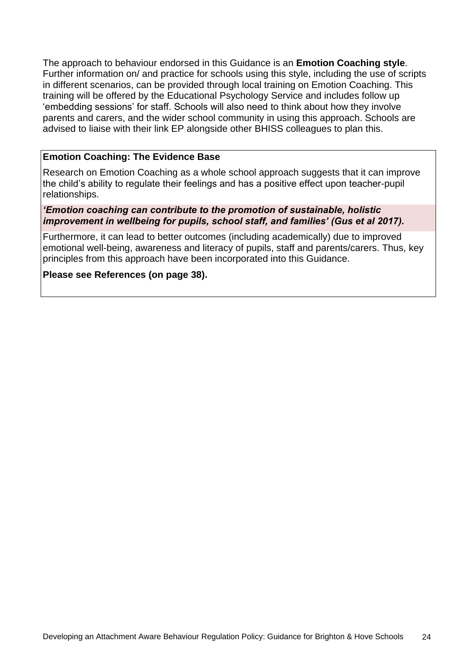The approach to behaviour endorsed in this Guidance is an **Emotion Coaching style**. Further information on/ and practice for schools using this style, including the use of scripts in different scenarios, can be provided through local training on Emotion Coaching. This training will be offered by the Educational Psychology Service and includes follow up 'embedding sessions' for staff. Schools will also need to think about how they involve parents and carers, and the wider school community in using this approach. Schools are advised to liaise with their link EP alongside other BHISS colleagues to plan this.

### **Emotion Coaching: The Evidence Base**

Research on Emotion Coaching as a whole school approach suggests that it can improve the child's ability to regulate their feelings and has a positive effect upon teacher-pupil relationships.

#### *'Emotion coaching can contribute to the promotion of sustainable, holistic improvement in wellbeing for pupils, school staff, and families' (Gus et al 2017).*

Furthermore, it can lead to better outcomes (including academically) due to improved emotional well-being, awareness and literacy of pupils, staff and parents/carers. Thus, key principles from this approach have been incorporated into this Guidance.

### **Please see References (on page 38).**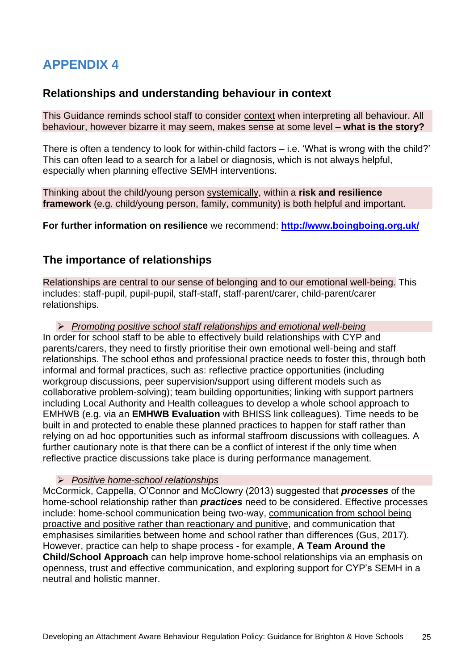### **Relationships and understanding behaviour in context**

This Guidance reminds school staff to consider context when interpreting all behaviour. All behaviour, however bizarre it may seem, makes sense at some level – **what is the story?**

There is often a tendency to look for within-child factors – i.e. 'What is wrong with the child?' This can often lead to a search for a label or diagnosis, which is not always helpful, especially when planning effective SEMH interventions.

Thinking about the child/young person systemically, within a **risk and resilience framework** (e.g. child/young person, family, community) is both helpful and important.

**For further information on resilience** we recommend: **<http://www.boingboing.org.uk/>**

### **The importance of relationships**

Relationships are central to our sense of belonging and to our emotional well-being. This includes: staff-pupil, pupil-pupil, staff-staff, staff-parent/carer, child-parent/carer relationships.

 *Promoting positive school staff relationships and emotional well-being* In order for school staff to be able to effectively build relationships with CYP and parents/carers, they need to firstly prioritise their own emotional well-being and staff relationships. The school ethos and professional practice needs to foster this, through both informal and formal practices, such as: reflective practice opportunities (including workgroup discussions, peer supervision/support using different models such as collaborative problem-solving); team building opportunities; linking with support partners including Local Authority and Health colleagues to develop a whole school approach to EMHWB (e.g. via an **EMHWB Evaluation** with BHISS link colleagues). Time needs to be built in and protected to enable these planned practices to happen for staff rather than relying on ad hoc opportunities such as informal staffroom discussions with colleagues. A further cautionary note is that there can be a conflict of interest if the only time when reflective practice discussions take place is during performance management.

#### *Positive home-school relationships*

McCormick, Cappella, O'Connor and McClowry (2013) suggested that *processes* of the home-school relationship rather than *practices* need to be considered. Effective processes include: home-school communication being two-way, communication from school being proactive and positive rather than reactionary and punitive, and communication that emphasises similarities between home and school rather than differences (Gus, 2017). However, practice can help to shape process - for example, **A Team Around the Child/School Approach** can help improve home-school relationships via an emphasis on openness, trust and effective communication, and exploring support for CYP's SEMH in a neutral and holistic manner.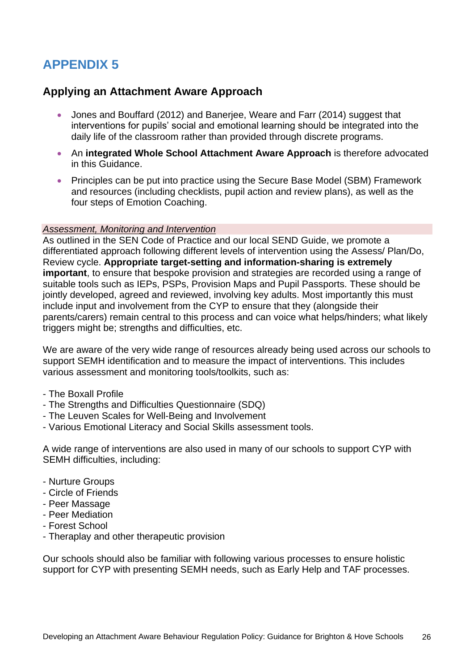### **Applying an Attachment Aware Approach**

- Jones and Bouffard (2012) and Banerjee, Weare and Farr (2014) suggest that interventions for pupils' social and emotional learning should be integrated into the daily life of the classroom rather than provided through discrete programs.
- An **integrated Whole School Attachment Aware Approach** is therefore advocated in this Guidance.
- Principles can be put into practice using the Secure Base Model (SBM) Framework and resources (including checklists, pupil action and review plans), as well as the four steps of Emotion Coaching.

#### *Assessment, Monitoring and Intervention*

As outlined in the SEN Code of Practice and our local SEND Guide, we promote a differentiated approach following different levels of intervention using the Assess/ Plan/Do, Review cycle. **Appropriate target-setting and information-sharing is extremely important**, to ensure that bespoke provision and strategies are recorded using a range of suitable tools such as IEPs, PSPs, Provision Maps and Pupil Passports. These should be jointly developed, agreed and reviewed, involving key adults. Most importantly this must include input and involvement from the CYP to ensure that they (alongside their parents/carers) remain central to this process and can voice what helps/hinders; what likely triggers might be; strengths and difficulties, etc.

We are aware of the very wide range of resources already being used across our schools to support SEMH identification and to measure the impact of interventions. This includes various assessment and monitoring tools/toolkits, such as:

- The Boxall Profile
- The Strengths and Difficulties Questionnaire (SDQ)
- The Leuven Scales for Well-Being and Involvement
- Various Emotional Literacy and Social Skills assessment tools.

A wide range of interventions are also used in many of our schools to support CYP with SEMH difficulties, including:

- Nurture Groups
- Circle of Friends
- Peer Massage
- Peer Mediation
- Forest School
- Theraplay and other therapeutic provision

Our schools should also be familiar with following various processes to ensure holistic support for CYP with presenting SEMH needs, such as Early Help and TAF processes.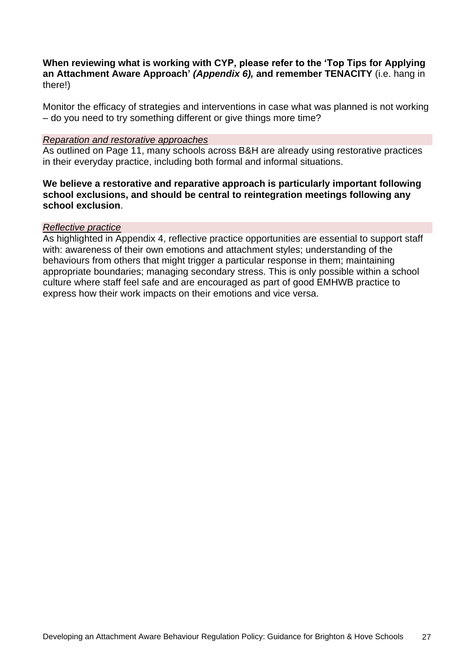**When reviewing what is working with CYP, please refer to the 'Top Tips for Applying an Attachment Aware Approach'** *(Appendix 6),* **and remember TENACITY** (i.e. hang in there!)

Monitor the efficacy of strategies and interventions in case what was planned is not working – do you need to try something different or give things more time?

#### *Reparation and restorative approaches*

As outlined on Page 11, many schools across B&H are already using restorative practices in their everyday practice, including both formal and informal situations.

### **We believe a restorative and reparative approach is particularly important following school exclusions, and should be central to reintegration meetings following any school exclusion**.

#### *Reflective practice*

As highlighted in Appendix 4, reflective practice opportunities are essential to support staff with: awareness of their own emotions and attachment styles; understanding of the behaviours from others that might trigger a particular response in them; maintaining appropriate boundaries; managing secondary stress. This is only possible within a school culture where staff feel safe and are encouraged as part of good EMHWB practice to express how their work impacts on their emotions and vice versa.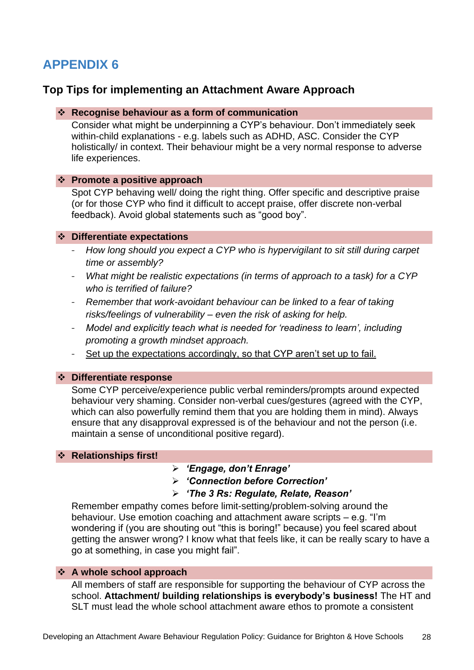### **Top Tips for implementing an Attachment Aware Approach**

#### **Recognise behaviour as a form of communication**

Consider what might be underpinning a CYP's behaviour. Don't immediately seek within-child explanations - e.g. labels such as ADHD, ASC. Consider the CYP holistically/ in context. Their behaviour might be a very normal response to adverse life experiences.

#### **Promote a positive approach**

Spot CYP behaving well/ doing the right thing. Offer specific and descriptive praise (or for those CYP who find it difficult to accept praise, offer discrete non-verbal feedback). Avoid global statements such as "good boy".

#### **Differentiate expectations**

- *How long should you expect a CYP who is hypervigilant to sit still during carpet time or assembly?*
- *What might be realistic expectations (in terms of approach to a task) for a CYP who is terrified of failure?*
- *Remember that work-avoidant behaviour can be linked to a fear of taking risks/feelings of vulnerability – even the risk of asking for help.*
- *Model and explicitly teach what is needed for 'readiness to learn', including promoting a growth mindset approach.*
- Set up the expectations accordingly, so that CYP aren't set up to fail.

### **Differentiate response**

Some CYP perceive/experience public verbal reminders/prompts around expected behaviour very shaming. Consider non-verbal cues/gestures (agreed with the CYP, which can also powerfully remind them that you are holding them in mind). Always ensure that any disapproval expressed is of the behaviour and not the person (i.e. maintain a sense of unconditional positive regard).

#### **Relationships first!**

- *'Engage, don't Enrage'*
- *'Connection before Correction'*

### *'The 3 Rs: Regulate, Relate, Reason'*

Remember empathy comes before limit-setting/problem-solving around the behaviour. Use emotion coaching and attachment aware scripts – e.g. "I'm wondering if (you are shouting out "this is boring!" because) you feel scared about getting the answer wrong? I know what that feels like, it can be really scary to have a go at something, in case you might fail".

#### **A whole school approach**

All members of staff are responsible for supporting the behaviour of CYP across the school. **Attachment/ building relationships is everybody's business!** The HT and SLT must lead the whole school attachment aware ethos to promote a consistent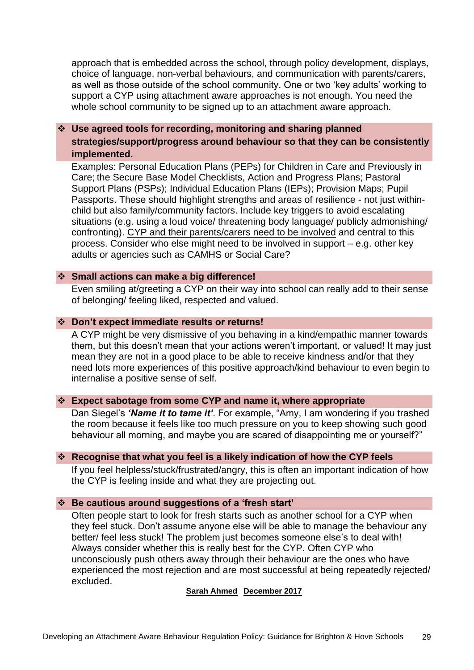approach that is embedded across the school, through policy development, displays, choice of language, non-verbal behaviours, and communication with parents/carers, as well as those outside of the school community. One or two 'key adults' working to support a CYP using attachment aware approaches is not enough. You need the whole school community to be signed up to an attachment aware approach.

 **Use agreed tools for recording, monitoring and sharing planned strategies/support/progress around behaviour so that they can be consistently implemented.**

Examples: Personal Education Plans (PEPs) for Children in Care and Previously in Care; the Secure Base Model Checklists, Action and Progress Plans; Pastoral Support Plans (PSPs); Individual Education Plans (IEPs); Provision Maps; Pupil Passports. These should highlight strengths and areas of resilience - not just withinchild but also family/community factors. Include key triggers to avoid escalating situations (e.g. using a loud voice/ threatening body language/ publicly admonishing/ confronting). CYP and their parents/carers need to be involved and central to this process. Consider who else might need to be involved in support – e.g. other key adults or agencies such as CAMHS or Social Care?

#### **Small actions can make a big difference!**

Even smiling at/greeting a CYP on their way into school can really add to their sense of belonging/ feeling liked, respected and valued.

#### **Don't expect immediate results or returns!**

A CYP might be very dismissive of you behaving in a kind/empathic manner towards them, but this doesn't mean that your actions weren't important, or valued! It may just mean they are not in a good place to be able to receive kindness and/or that they need lots more experiences of this positive approach/kind behaviour to even begin to internalise a positive sense of self.

#### **Expect sabotage from some CYP and name it, where appropriate**

Dan Siegel's *'Name it to tame it'*. For example, "Amy, I am wondering if you trashed the room because it feels like too much pressure on you to keep showing such good behaviour all morning, and maybe you are scared of disappointing me or yourself?"

#### **Recognise that what you feel is a likely indication of how the CYP feels**

If you feel helpless/stuck/frustrated/angry, this is often an important indication of how the CYP is feeling inside and what they are projecting out.

#### **Be cautious around suggestions of a 'fresh start'**

Often people start to look for fresh starts such as another school for a CYP when they feel stuck. Don't assume anyone else will be able to manage the behaviour any better/ feel less stuck! The problem just becomes someone else's to deal with! Always consider whether this is really best for the CYP. Often CYP who unconsciously push others away through their behaviour are the ones who have experienced the most rejection and are most successful at being repeatedly rejected/ excluded.

#### **Sarah Ahmed December 2017**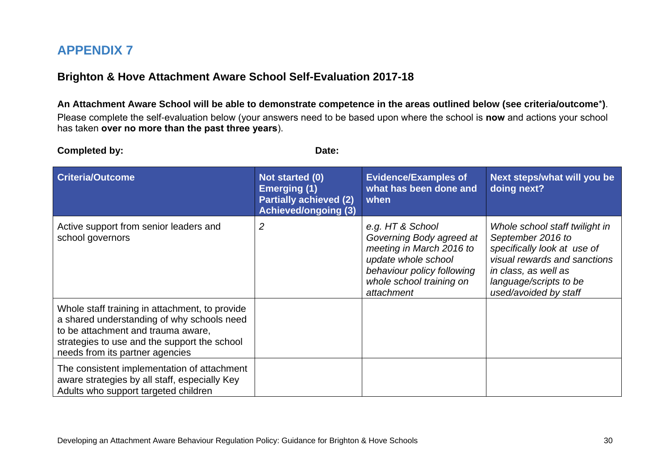## **Brighton & Hove Attachment Aware School Self-Evaluation 2017-18**

**An Attachment Aware School will be able to demonstrate competence in the areas outlined below (see criteria/outcome**\***)**. Please complete the self-evaluation below (your answers need to be based upon where the school is **now** and actions your school has taken **over no more than the past three years**).

**Completed by:** Date: **Criteria/Outcome Not started (0) Emerging (1) Partially achieved (2) Achieved/ongoing (3) Evidence/Examples of what has been done and when Next steps/what will you be doing next?** Active support from senior leaders and school governors *2 e.g. HT & School Governing Body agreed at meeting in March 2016 to update whole school behaviour policy following whole school training on attachment Whole school staff twilight in September 2016 to specifically look at use of visual rewards and sanctions in class, as well as language/scripts to be used/avoided by staff* Whole staff training in attachment, to provide a shared understanding of why schools need to be attachment and trauma aware, strategies to use and the support the school needs from its partner agencies The consistent implementation of attachment aware strategies by all staff, especially Key Adults who support targeted children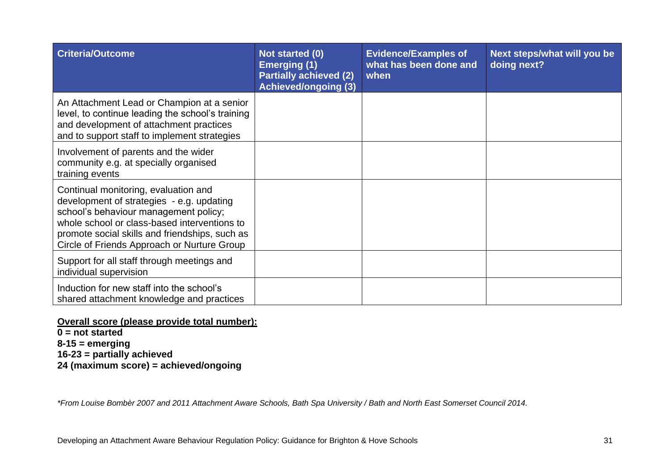| <b>Criteria/Outcome</b>                                                                                                                                                                                                                                                     | Not started (0)<br><b>Emerging (1)</b><br><b>Partially achieved (2)</b><br><b>Achieved/ongoing (3)</b> | <b>Evidence/Examples of</b><br>what has been done and<br>when | Next steps/what will you be<br>doing next? |
|-----------------------------------------------------------------------------------------------------------------------------------------------------------------------------------------------------------------------------------------------------------------------------|--------------------------------------------------------------------------------------------------------|---------------------------------------------------------------|--------------------------------------------|
| An Attachment Lead or Champion at a senior<br>level, to continue leading the school's training<br>and development of attachment practices<br>and to support staff to implement strategies                                                                                   |                                                                                                        |                                                               |                                            |
| Involvement of parents and the wider<br>community e.g. at specially organised<br>training events                                                                                                                                                                            |                                                                                                        |                                                               |                                            |
| Continual monitoring, evaluation and<br>development of strategies - e.g. updating<br>school's behaviour management policy;<br>whole school or class-based interventions to<br>promote social skills and friendships, such as<br>Circle of Friends Approach or Nurture Group |                                                                                                        |                                                               |                                            |
| Support for all staff through meetings and<br>individual supervision                                                                                                                                                                                                        |                                                                                                        |                                                               |                                            |
| Induction for new staff into the school's<br>shared attachment knowledge and practices                                                                                                                                                                                      |                                                                                                        |                                                               |                                            |

### **Overall score (please provide total number):**

**0 = not started 8-15 = emerging 16-23 = partially achieved 24 (maximum score) = achieved/ongoing** 

*\*From Louise Bombèr 2007 and 2011 Attachment Aware Schools, Bath Spa University / Bath and North East Somerset Council 2014.*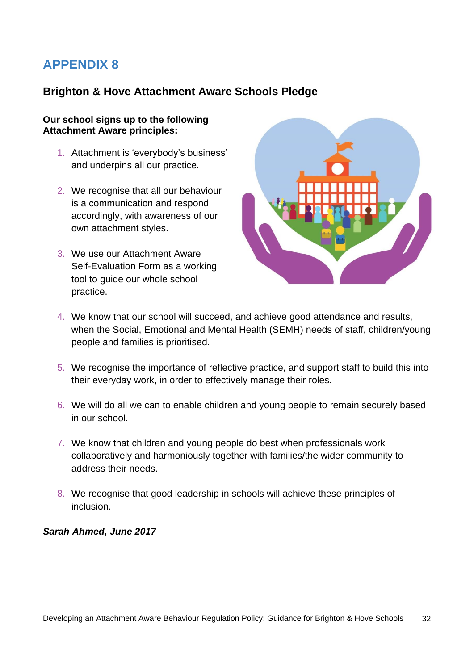## **Brighton & Hove Attachment Aware Schools Pledge**

#### **Our school signs up to the following Attachment Aware principles:**

- 1. Attachment is 'everybody's business' and underpins all our practice.
- 2. We recognise that all our behaviour is a communication and respond accordingly, with awareness of our own attachment styles.
- 3. We use our Attachment Aware Self-Evaluation Form as a working tool to guide our whole school practice.



- 4. We know that our school will succeed, and achieve good attendance and results, when the Social, Emotional and Mental Health (SEMH) needs of staff, children/young people and families is prioritised.
- 5. We recognise the importance of reflective practice, and support staff to build this into their everyday work, in order to effectively manage their roles.
- 6. We will do all we can to enable children and young people to remain securely based in our school.
- 7. We know that children and young people do best when professionals work collaboratively and harmoniously together with families/the wider community to address their needs.
- 8. We recognise that good leadership in schools will achieve these principles of inclusion.

#### *Sarah Ahmed, June 2017*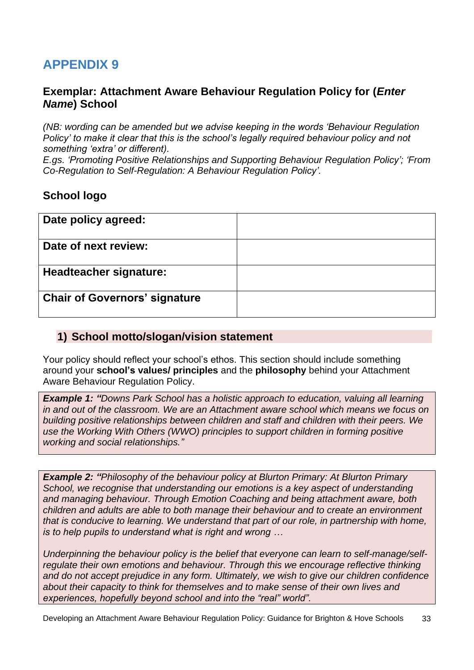### **Exemplar: Attachment Aware Behaviour Regulation Policy for (***Enter Name***) School**

*(NB: wording can be amended but we advise keeping in the words 'Behaviour Regulation Policy' to make it clear that this is the school's legally required behaviour policy and not something 'extra' or different).* 

*E.gs. 'Promoting Positive Relationships and Supporting Behaviour Regulation Policy'; 'From Co-Regulation to Self-Regulation: A Behaviour Regulation Policy'.*

### **School logo**

| Date policy agreed:                  |  |
|--------------------------------------|--|
| Date of next review:                 |  |
| <b>Headteacher signature:</b>        |  |
| <b>Chair of Governors' signature</b> |  |

### **1) School motto/slogan/vision statement**

Your policy should reflect your school's ethos. This section should include something around your **school's values/ principles** and the **philosophy** behind your Attachment Aware Behaviour Regulation Policy.

*Example 1: "Downs Park School has a holistic approach to education, valuing all learning in and out of the classroom. We are an Attachment aware school which means we focus on building positive relationships between children and staff and children with their peers. We use the Working With Others (WWO) principles to support children in forming positive working and social relationships."*

*Example 2: "Philosophy of the behaviour policy at Blurton Primary: At Blurton Primary School, we recognise that understanding our emotions is a key aspect of understanding and managing behaviour. Through Emotion Coaching and being attachment aware, both children and adults are able to both manage their behaviour and to create an environment that is conducive to learning. We understand that part of our role, in partnership with home, is to help pupils to understand what is right and wrong …*

*Underpinning the behaviour policy is the belief that everyone can learn to self-manage/selfregulate their own emotions and behaviour. Through this we encourage reflective thinking and do not accept prejudice in any form. Ultimately, we wish to give our children confidence about their capacity to think for themselves and to make sense of their own lives and experiences, hopefully beyond school and into the "real" world".*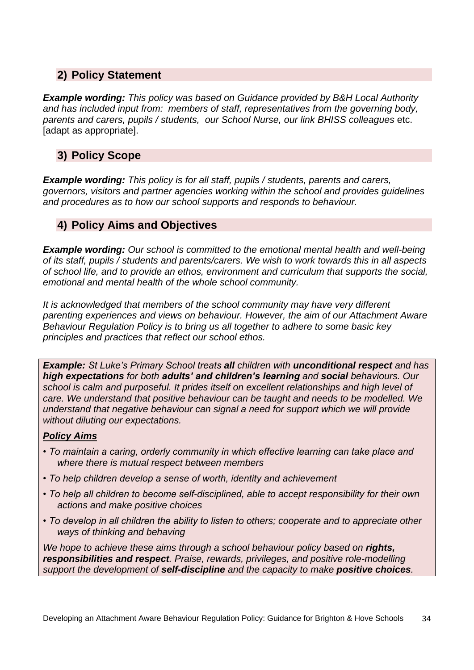## **2) Policy Statement**

*Example wording: This policy was based on Guidance provided by B&H Local Authority and has included input from: members of staff, representatives from the governing body, parents and carers, pupils / students, our School Nurse, our link BHISS colleagues* etc. [adapt as appropriate].

## **3) Policy Scope**

*Example wording: This policy is for all staff, pupils / students, parents and carers, governors, visitors and partner agencies working within the school and provides guidelines and procedures as to how our school supports and responds to behaviour.*

## **4) Policy Aims and Objectives**

*Example wording: Our school is committed to the emotional mental health and well-being of its staff, pupils / students and parents/carers. We wish to work towards this in all aspects of school life, and to provide an ethos, environment and curriculum that supports the social, emotional and mental health of the whole school community.*

*It is acknowledged that members of the school community may have very different parenting experiences and views on behaviour. However, the aim of our Attachment Aware Behaviour Regulation Policy is to bring us all together to adhere to some basic key principles and practices that reflect our school ethos.*

*Example: St Luke's Primary School treats all children with unconditional respect and has high expectations for both adults' and children's learning and social behaviours. Our school is calm and purposeful. It prides itself on excellent relationships and high level of care. We understand that positive behaviour can be taught and needs to be modelled. We understand that negative behaviour can signal a need for support which we will provide without diluting our expectations.* 

### *Policy Aims*

- *To maintain a caring, orderly community in which effective learning can take place and where there is mutual respect between members*
- *To help children develop a sense of worth, identity and achievement*
- *To help all children to become self-disciplined, able to accept responsibility for their own actions and make positive choices*
- *To develop in all children the ability to listen to others; cooperate and to appreciate other ways of thinking and behaving*

*We hope to achieve these aims through a school behaviour policy based on rights, responsibilities and respect. Praise, rewards, privileges, and positive role-modelling support the development of self-discipline and the capacity to make positive choices.*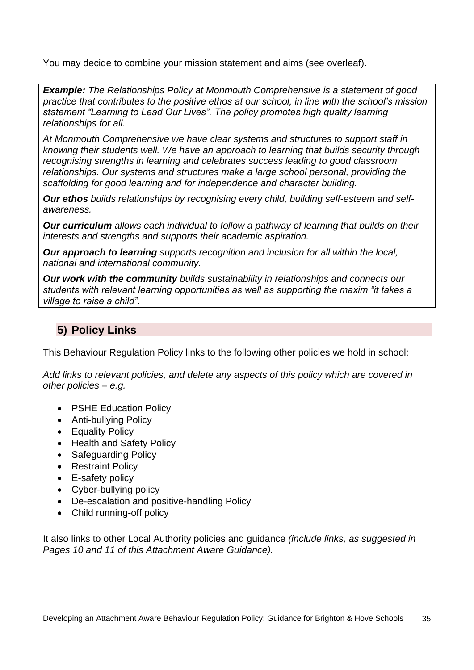You may decide to combine your mission statement and aims (see overleaf).

*Example: The Relationships Policy at Monmouth Comprehensive is a statement of good practice that contributes to the positive ethos at our school, in line with the school's mission statement "Learning to Lead Our Lives". The policy promotes high quality learning relationships for all.* 

*At Monmouth Comprehensive we have clear systems and structures to support staff in knowing their students well. We have an approach to learning that builds security through recognising strengths in learning and celebrates success leading to good classroom relationships. Our systems and structures make a large school personal, providing the scaffolding for good learning and for independence and character building.* 

*Our ethos builds relationships by recognising every child, building self-esteem and selfawareness.* 

*Our curriculum allows each individual to follow a pathway of learning that builds on their interests and strengths and supports their academic aspiration.* 

*Our approach to learning supports recognition and inclusion for all within the local, national and international community.* 

*Our work with the community builds sustainability in relationships and connects our students with relevant learning opportunities as well as supporting the maxim "it takes a village to raise a child".*

## **5) Policy Links**

This Behaviour Regulation Policy links to the following other policies we hold in school:

*Add links to relevant policies, and delete any aspects of this policy which are covered in other policies – e.g.*

- PSHE Education Policy
- Anti-bullying Policy
- Equality Policy
- Health and Safety Policy
- Safeguarding Policy
- Restraint Policy
- E-safety policy
- Cyber-bullying policy
- De-escalation and positive-handling Policy
- Child running-off policy

It also links to other Local Authority policies and guidance *(include links, as suggested in Pages 10 and 11 of this Attachment Aware Guidance).*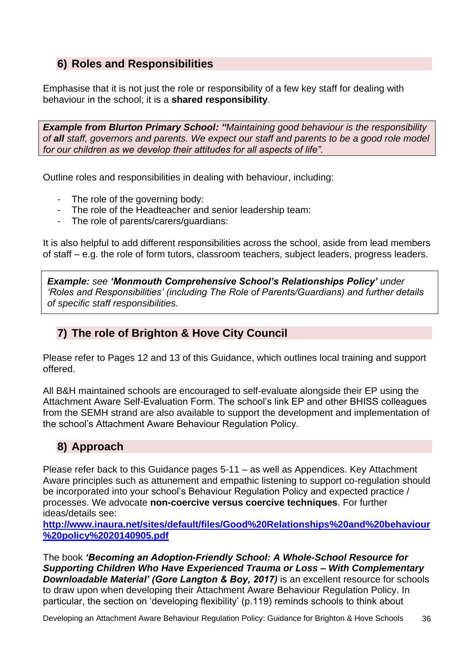# **6) Roles and Responsibilities**

Emphasise that it is not just the role or responsibility of a few key staff for dealing with behaviour in the school; it is a **shared responsibility**.

*Example from Blurton Primary School: "Maintaining good behaviour is the responsibility of all staff, governors and parents. We expect our staff and parents to be a good role model for our children as we develop their attitudes for all aspects of life".*

Outline roles and responsibilities in dealing with behaviour, including:

- The role of the governing body:
- The role of the Headteacher and senior leadership team:
- The role of parents/carers/guardians:

It is also helpful to add different responsibilities across the school, aside from lead members of staff – e.g. the role of form tutors, classroom teachers, subject leaders, progress leaders.

*Example: see 'Monmouth Comprehensive School's Relationships Policy' under 'Roles and Responsibilities' (including The Role of Parents/Guardians) and further details of specific staff responsibilities.* 

### **7) The role of Brighton & Hove City Council**

Please refer to Pages 12 and 13 of this Guidance, which outlines local training and support offered.

All B&H maintained schools are encouraged to self-evaluate alongside their EP using the Attachment Aware Self-Evaluation Form. The school's link EP and other BHISS colleagues from the SEMH strand are also available to support the development and implementation of the school's Attachment Aware Behaviour Regulation Policy.

## **8) Approach**

Please refer back to this Guidance pages 5-11 – as well as Appendices. Key Attachment Aware principles such as attunement and empathic listening to support co-regulation should be incorporated into your school's Behaviour Regulation Policy and expected practice / processes. We advocate **non-coercive versus coercive techniques**. For further ideas/details see:

**[http://www.inaura.net/sites/default/files/Good%20Relationships%20and%20behaviour](http://www.inaura.net/sites/default/files/Good%20Relationships%20and%20behaviour%20policy%2020140905.pdf) [%20policy%2020140905.pdf](http://www.inaura.net/sites/default/files/Good%20Relationships%20and%20behaviour%20policy%2020140905.pdf)**

The book *'Becoming an Adoption-Friendly School: A Whole-School Resource for Supporting Children Who Have Experienced Trauma or Loss – With Complementary*  **Downloadable Material' (Gore Langton & Boy, 2017)** is an excellent resource for schools to draw upon when developing their Attachment Aware Behaviour Regulation Policy. In particular, the section on 'developing flexibility' (p.119) reminds schools to think about

Developing an Attachment Aware Behaviour Regulation Policy: Guidance for Brighton & Hove Schools 36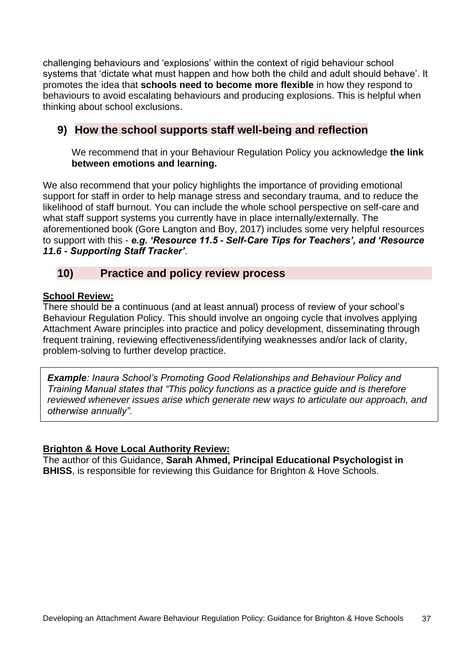challenging behaviours and 'explosions' within the context of rigid behaviour school systems that 'dictate what must happen and how both the child and adult should behave'. It promotes the idea that **schools need to become more flexible** in how they respond to behaviours to avoid escalating behaviours and producing explosions. This is helpful when thinking about school exclusions.

# **9) How the school supports staff well-being and reflection**

We recommend that in your Behaviour Regulation Policy you acknowledge **the link between emotions and learning.** 

We also recommend that your policy highlights the importance of providing emotional support for staff in order to help manage stress and secondary trauma, and to reduce the likelihood of staff burnout. You can include the whole school perspective on self-care and what staff support systems you currently have in place internally/externally. The aforementioned book (Gore Langton and Boy, 2017) includes some very helpful resources to support with this - *e.g. 'Resource 11.5 - Self-Care Tips for Teachers', and 'Resource 11.6 - Supporting Staff Tracker'*.

### **10) Practice and policy review process**

### **School Review:**

There should be a continuous (and at least annual) process of review of your school's Behaviour Regulation Policy. This should involve an ongoing cycle that involves applying Attachment Aware principles into practice and policy development, disseminating through frequent training, reviewing effectiveness/identifying weaknesses and/or lack of clarity, problem-solving to further develop practice.

*Example: Inaura School's Promoting Good Relationships and Behaviour Policy and Training Manual states that "This policy functions as a practice guide and is therefore reviewed whenever issues arise which generate new ways to articulate our approach, and otherwise annually".*

### **Brighton & Hove Local Authority Review:**

The author of this Guidance, **Sarah Ahmed, Principal Educational Psychologist in BHISS**, is responsible for reviewing this Guidance for Brighton & Hove Schools.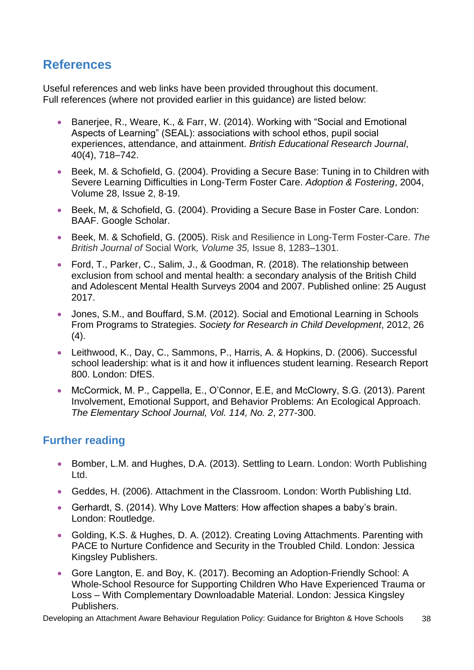# **References**

Useful references and web links have been provided throughout this document. Full references (where not provided earlier in this guidance) are listed below:

- Banerjee, R., Weare, K., & Farr, W. (2014). Working with "Social and Emotional Aspects of Learning" (SEAL): associations with school ethos, pupil social experiences, attendance, and attainment. *British Educational Research Journal*, 40(4), 718–742.
- Beek, M. & Schofield, G. (2004). Providing a Secure Base: Tuning in to Children with Severe Learning Difficulties in Long-Term Foster Care. *Adoption & Fostering*, 2004, Volume 28, Issue 2, 8-19.
- Beek, M, & Schofield, G. (2004). Providing a Secure Base in Foster Care. London: BAAF. Google Scholar.
- Beek, M. & Schofield, G. (2005). Risk and Resilience in Long-Term Foster-Care. *The British Journal of* Social Work*, Volume 35,* Issue 8, 1283–1301.
- Ford, T., Parker, C., Salim, J., & Goodman, R. (2018). The relationship between exclusion from school and mental health: a secondary analysis of the British Child and Adolescent Mental Health Surveys 2004 and 2007. Published online: 25 August 2017.
- Jones, S.M., and Bouffard, S.M. (2012). Social and Emotional Learning in Schools From Programs to Strategies. *Society for Research in Child Development*, 2012, 26  $(4).$
- Leithwood, K., Day, C., Sammons, P., Harris, A. & Hopkins, D. (2006). Successful school leadership: what is it and how it influences student learning. Research Report 800. London: DfES.
- McCormick, M. P., Cappella, E., O'Connor, E.E. and McClowry, S.G. (2013). Parent Involvement, Emotional Support, and Behavior Problems: An Ecological Approach. *The Elementary School Journal, Vol. 114, No. 2*, 277-300.

# **Further reading**

- Bomber, L.M. and Hughes, D.A. (2013). Settling to Learn. London: Worth Publishing Ltd.
- Geddes, H. (2006). Attachment in the Classroom. London: Worth Publishing Ltd.
- Gerhardt, S. (2014). Why Love Matters: How affection shapes a baby's brain. London: Routledge.
- Golding, K.S. & Hughes, D. A. (2012). Creating Loving Attachments. Parenting with PACE to Nurture Confidence and Security in the Troubled Child. London: Jessica Kingsley Publishers.
- Gore Langton, E. and Boy, K. (2017). Becoming an Adoption-Friendly School: A Whole-School Resource for Supporting Children Who Have Experienced Trauma or Loss – With Complementary Downloadable Material. London: Jessica Kingsley Publishers.

Developing an Attachment Aware Behaviour Regulation Policy: Guidance for Brighton & Hove Schools 38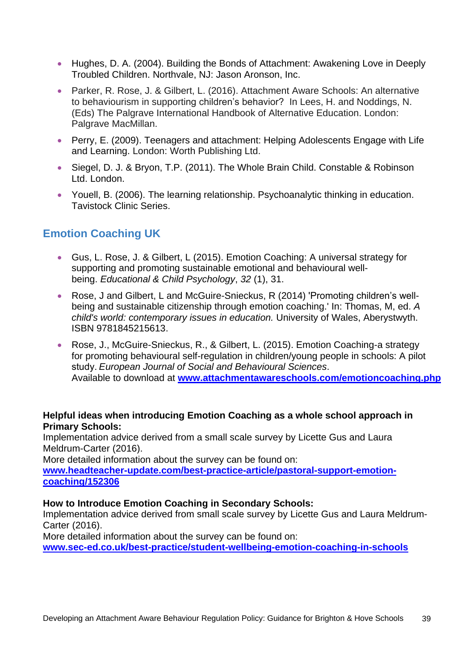- Hughes, D. A. (2004). Building the Bonds of Attachment: Awakening Love in Deeply Troubled Children. Northvale, NJ: Jason Aronson, Inc.
- Parker, R. Rose, J. & Gilbert, L. (2016). Attachment Aware Schools: An alternative to behaviourism in supporting children's behavior? In Lees, H. and Noddings, N. (Eds) The Palgrave International Handbook of Alternative Education. London: Palgrave MacMillan.
- Perry, E. (2009). Teenagers and attachment: Helping Adolescents Engage with Life and Learning. London: Worth Publishing Ltd.
- Siegel, D. J. & Bryon, T.P. (2011). The Whole Brain Child. Constable & Robinson Ltd. London.
- Youell, B. (2006). The learning relationship. Psychoanalytic thinking in education. Tavistock Clinic Series.

## **Emotion Coaching UK**

- Gus, L. Rose, J. & Gilbert, L (2015). Emotion Coaching: A universal strategy for supporting and promoting sustainable emotional and behavioural wellbeing. *Educational & Child Psychology*, *32* (1), 31.
- Rose, J and Gilbert, L and McGuire-Snieckus, R (2014) ['Promoting children's well](http://researchspace.bathspa.ac.uk/5856/)[being and sustainable citizenship through emotion coaching.'](http://researchspace.bathspa.ac.uk/5856/) In: Thomas, M, ed. *A child's world: contemporary issues in education.* University of Wales, Aberystwyth. ISBN 9781845215613.
- Rose, J., McGuire-Snieckus, R., & Gilbert, L. (2015). Emotion Coaching-a strategy for promoting behavioural self-regulation in children/young people in schools: A pilot study. *European Journal of Social and Behavioural Sciences*. Available to download at **[www.attachmentawareschools.com/emotioncoaching.php](http://www.attachmentawareschools.com/emotioncoaching.php)**

### **Helpful ideas when introducing Emotion Coaching as a whole school approach in Primary Schools:**

Implementation advice derived from a small scale survey by Licette Gus and Laura Meldrum-Carter (2016).

More detailed information about the survey can be found on:

**[www.headteacher-update.com/best-practice-article/pastoral-support-emotion](http://www.headteacher-update.com/best-practice-article/pastoral-support-emotion-coaching/152306)[coaching/152306](http://www.headteacher-update.com/best-practice-article/pastoral-support-emotion-coaching/152306)**

### **How to Introduce Emotion Coaching in Secondary Schools:**

Implementation advice derived from small scale survey by Licette Gus and Laura Meldrum-Carter (2016).

More detailed information about the survey can be found on:

**[www.sec-ed.co.uk/best-practice/student-wellbeing-emotion-coaching-in-schools](http://www.sec-ed.co.uk/best-practice/student-wellbeing-emotion-coaching-in-schools)**